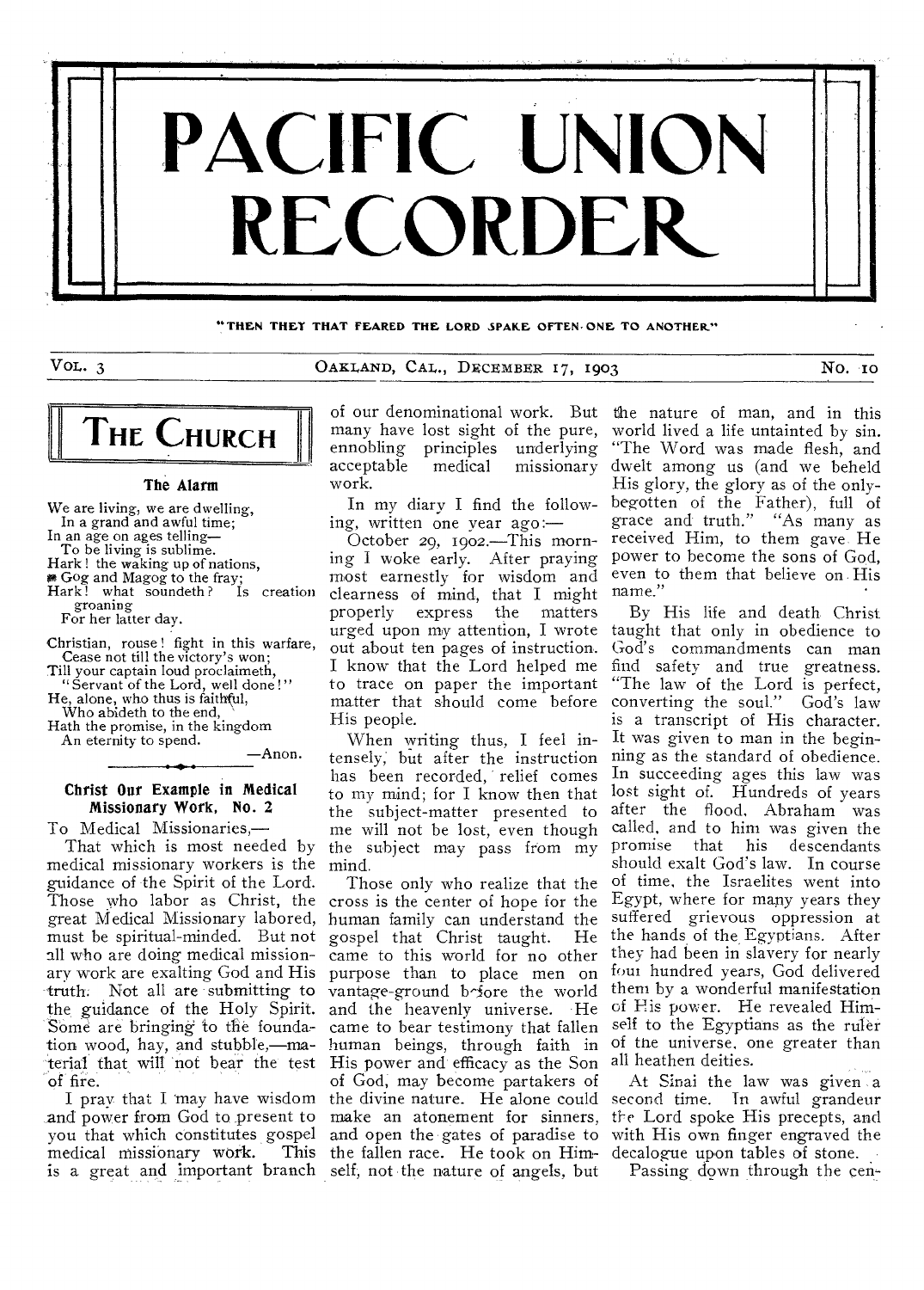

**"THEN THEY THAT FEARED THE LORD SPAKE OFTEN,ONE TO ANOTHER."** 

VOL. 3 OAKLAND, CAL., DECEMBER 17, 1903 NO. 10



#### The Alarm

We are living, we are dwelling, In a grand and awful time;

In an age on ages telling— To be living is sublime.

Hark ! the waking up of nations,

**# Gog and Magog to the fray;**<br>Hark! what soundeth? Is creation groaning

For her latter day.

Christian, rouse ! fight in this warfare, Cease not till the victory's won; Till your captain loud proclaimeth,

"Servant of the Lord, well done !"

He, alone, who thus is faithful,

Who abideth to the end,

Hath the promise, in the kingdom An eternity to spend. —Anon.

Christ Our Example in Medical Missionary Work, No. 2

To Medical Missionaries,—

That which is most needed by medical missionary workers is the guidance of the Spirit of the Lord. Those who labor as Christ, the cross is the center of hope for the great Medical Missionary labored, must be spiritual-minded. But not all who are doing medical missionary work are exalting God and His truth. Not all are submitting to the, guidance of the Holy Spirit. Some are bringing to the foundation wood, hay, and stubble,—material that wilt not bear the test

I pray that I may have wisdom and power from God to present to you that which constitutes gospel medical missionary work. is a great and important branch self, not the nature of angels, but

many have lost sight of the pure, ennobling principles underlying<br>acceptable medical missionary work.

In my diary I find the following, written one year ago:—

October 29, 1902.—This morning I woke early. After praying most earnestly for wisdom and clearness of mind, that I might matters out about ten pages of instruction. I know that the Lord helped me to trace on paper the important matter that should come before His people.

When writing thus, I feel intensely, but after the instruction has been recorded, relief comes to my mind; for I know then that the subject-matter presented to me will not be lost, even though the subject may pass from my mind.

Those only who realize that the human family can understand the gospel that Christ taught. He came to this world for no other purpose than to place men on vantage-ground before the world and the heavenly universe. He came to bear testimony that fallen human beings, through faith in of the universe, one greater than His power and efficacy as the Son all heathen deities. of God, may become partakers of the divine nature. He alone could second time. Tn awful grandeur make an atonement for sinners, the Lord spoke His precepts, and and open the gates of paradise to with His own finger engraved the the fallen race. He took on Him-decalogue upon tables of stone.

of our denominational work. But the nature of man, and in this acceptable medical missionary dwelt among us (and we beheld world lived a life untainted by sin. "The Word was made flesh, and His glory, the glory as of the onlybegotten of the Father), full of grace and truth." "As many as received Him, to them gave He power to become the sons of God, even to them that believe on. His name."

urged upon my attention, I wrote taught that only in obedience to By His life and death Christ God's commandments can man find safety and true greatness. "The law of the Lord is perfect, converting the soul." God's law is a transcript of His character. It was given to man in the beginning as the standard of obedience. In succeeding ages this law was lost sight of. Hundreds of years after the flood, Abraham was called, and to him was given the promise that his descendants should exalt God's law. In course of time, the Israelites went into Egypt, where for many years they suffered grievous oppression at the hands of the Egyptians. After they had been in slavery for nearly four hundred years, God delivered them by a wonderful manifestation of Flis power. He revealed Himself to the Egyptians as the ruler

At Sinai the law was given a

Passing down through the cen-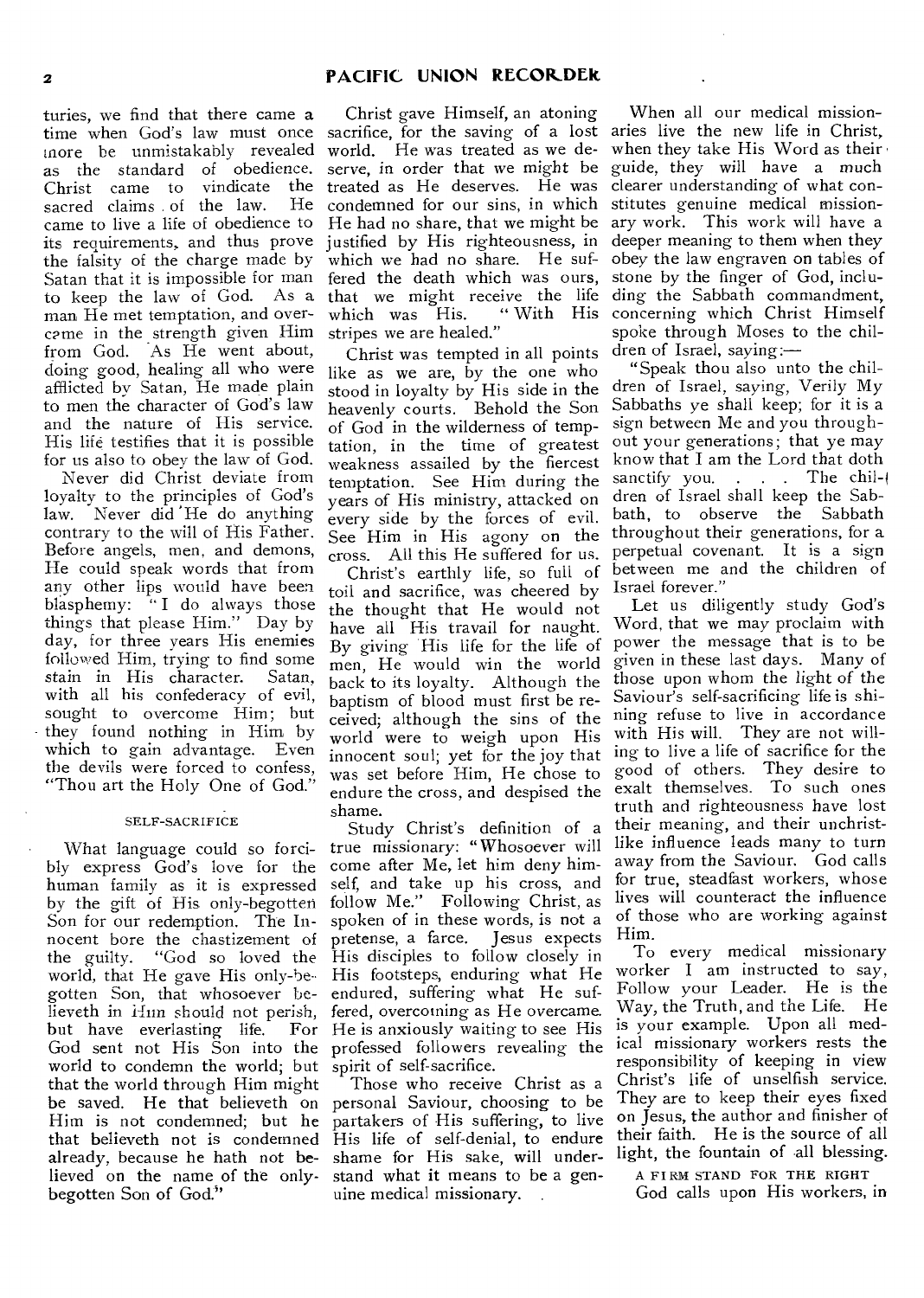turies, we find that there came a as the standard of obedience.<br>Christ came to vindicate the Christ came to vindicate the<br>sacred claims of the law. He sacred claims of the law. came to live a life of obedience to its requirements, and thus prove the falsity of the charge made by Satan that it is impossible for man to keep the law of God. As a man He met temptation, and overcame in the strength given Him from God. As He went about, doing good, healing all who were afflicted by Satan, He made plain to men the character of God's law and the nature of His service. His life testifies that it is possible for us also to obey the law of God.

Never did Christ deviate from loyalty to the principles of God's law. Never did 'He do anything contrary to the will of His Father. Before angels, men, and demons, He could speak words that from any other lips would have been blasphemy: "I do always those things that please Him." Day by day, for three years His enemies followed Him, trying to find some stain in His character. Satan, with all his confederacy of evil, sought to overcome Him; but they found nothing in Him by which to gain advantage. Even the devils were forced to confess, "Thou art the Holy One of God."

#### SELF-SACRIFICE

What language could so forcibly express God's love for the human family as it is expressed by the gift of His only-begotten Son for our redemption. The Innocent bore the chastizement of the guilty. "God so loved the world, that He gave His only-begotten Son, that whosoever believeth in *ifun* should not perish, but have everlasting life. For world to condemn the world; but spirit of self-sacrifice. that the world through Him might be saved. He that believeth on personal Saviour, choosing to be Him is not condemned; but he partakers of His suffering, to live that believeth not is condemned His life of self-denial, to endure already, because he hath not believed on the name of the onlybegotten Son of God."

time when God's law must once sacrifice, for the saving of a lost aries live the new life in Christ, more be unmistakably revealed world. He was treated as we de-when they take His Word as their Christ gave Himself, an atoning serve, in order that we might be guide, they will have a much treated as He deserves. He was clearer understanding of what concondemned for our sins, in which stitutes genuine medical mission-He had no share, that we might be ary work. This work will have a justified by His righteousness, in deeper meaning to them when they which we had no share. He suf-obey the law engraven on tables of fered the death which was ours, which was His. stripes we are healed."

> Christ was tempted in all points like as we are, by the one who stood in loyalty by His side in the heavenly courts. Behold the Son of God in the wilderness of temptation, in the time of greatest weakness assailed by the fiercest temptation. See Him during the years of His ministry, attacked on every side by the forces of evil. See Him in His agony on the cross. All this He suffered for us.

> Christ's earthly life, so full of toil and sacrifice, was cheered by the thought that He would not have all His travail for naught. By giving His life for the life of men, He would win the world back to its loyalty. Although the baptism of blood must first be received; although the sins of the world were to weigh upon His innocent soul; yet for the joy that was set before Him, He chose to endure the cross, and despised the shame.

God sent not His Son into the professed followers revealing the Study Christ's definition of a true missionary: "Whosoever will come after Me, let him deny himself, and take up his cross, and follow Me." Following Christ, as spoken of in these words, is not a pretense, a farce. Jesus expects His disciples to follow closely in His footsteps, enduring what He endured, suffering what He suffered, overcoming as He overcame. He is anxiously waiting to see His

> Those who receive Christ as a shame for His sake, will understand what it means to be a genuine medical missionary.

that we might receive the life ding the Sabbath commandment, When all our medical missionstone by the finger of God, inclu-"With His concerning which Christ Himself spoke through Moses to the children of Israel, saying:—

"Speak thou also unto the children of Israel, saying, Verily My Sabbaths ye shall keep; for it is a sign between Me and you throughout your generations; that ye may know that I am the Lord that doth sanctify you. . . . The children of Israel shall keep the Sabbath, to observe the Sabbath throughout their generations, for a perpetual covenant. It is a sign between me and the children of Israel forever."

Let us diligently study God's Word, that we may proclaim with power the message that is to be given in these last days. Many of those upon whom the light of the Saviour's self-sacrificing life is shining refuse to live in accordance with His will. They are not willing to live a life of sacrifice for the good of others. They desire to exalt themselves. To such ones truth and righteousness have lost their meaning, and their unchristlike influence leads many to turn away from the Saviour. God calls for true, steadfast workers, whose lives will counteract the influence of those who are working against Him.

To every medical missionary worker I am instructed to say, Follow your Leader. He is the Way, the Truth, and the Life. He is your example. Upon all medical missionary workers rests the responsibility of keeping in view Christ's life of unselfish service. They are to keep their eyes fixed on Jesus, the author and finisher of their faith. He is the source of all light, the fountain of all blessing.

A FIRM STAND FOR THE RIGHT

God calls upon His workers, in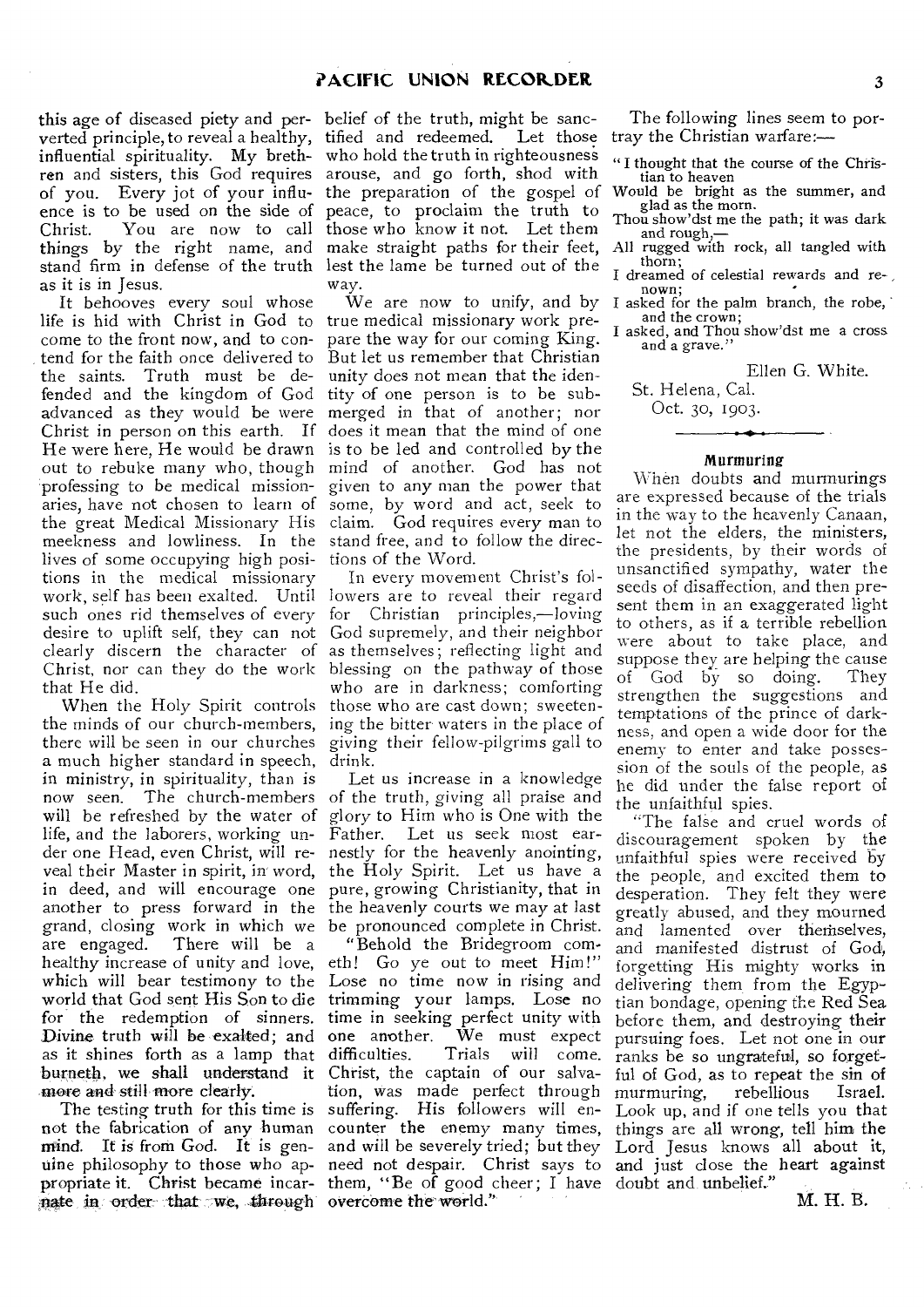this age of diseased piety and per-belief of the truth, might be sancverted principle, to reveal a healthy, tified and redeemed. Let those influential spirituality. My breth-who hold the truth in righteousness ren and sisters, this God requires arouse, and go forth, shod with of you. Every jot of your influ-the preparation of the gospel of Would be bright as the summer, and ence is to be used on the side of peace, to proclaim the truth to Christ. You are now to call those who know it not. Let them things by the right name, and make straight paths for their feet, stand firm in defense of the truth lest the lame be turned out of the as it is in Jesus.

It behooves every soul whose life is hid with Christ in God to true medical missionary work precome to the front now, and to contend for the faith once delivered to the saints. Truth must be defended and the kingdom of God advanced as they would be were Christ in person on this earth. If He were here, He would be drawn out to rebuke many who, though mind of another. God has not 'professing to be medical missionaries, have not chosen to learn of the great Medical Missionary His claim. God requires every man to meekness and lowliness. In the stand free, and to follow the direclives of some occupying high posi-tions of the Word. tions in the medical missionary work, self has been exalted. Until lowers are to reveal their regard such ones rid themselves of every for Christian principles,—loving desire to uplift self, they can not God supremely, and their neighbor clearly discern the character of Christ, nor can they do the work blessing on the pathway of those that He did.

the minds of our church-members, ing the bitter waters in the place of there will be seen in our churches a much higher standard in speech, drink. in ministry, in spirituality, than is now seen. The church-members of the truth, giving all praise and will be refreshed by the water of glory to Him who is One with the life, and the laborers, working un-Father. Let us seek most earder one Head, even Christ, will re-nestly for the heavenly anointing, veal their Master in spirit, in word, the Holy Spirit. Let us have a in deed, and will encourage one pure, growing Christianity, that in another to press forward in the the heavenly courts we may at last grand, closing work in which we be pronounced complete in Christ. are engaged. There will be a healthy increase of unity and love, eth! Go ye out to meet Him!" which will bear testimony to the Lose no time now in rising and world that God sent His Son to die trimming your lamps. Lose no for the redemption of sinners. Divine truth will be exalted; and as it shines forth as a lamp that burneth, we shall understand it Christ, the captain of our salvamore and still more clearly.

mind. It is from God. It is gen-and will be severely tried; but they ate in order that we, through overcome the world."

way.

We are now to unify, and by I asked for the palm branch, the robe, pare the way for our coming King. But let us remember that Christian unity does not mean that the identity of one person is to be submerged in that of another; nor does it mean that the mind of one is to be led and controlled by the given to any man the power that some, by word and act, seek to

When the Holy Spirit controls those who are cast down; sweeten-In every movement Christ's folas themselves; reflecting light and who are in darkness; comforting giving their fellow-pilgrims gall to

Let us increase in a knowledge

The testing truth for this time is suffering. His followers will ennot the fabrication of any human counter the enemy many times, uine philosophy to those who ap-need not despair. Christ says to and just close the heart against propriate it. Christ became incar- them, "Be of good cheer; I have doubt and unbelief." "Behold the Bridegroom comtime in seeking perfect unity with one another. We must expect Trials will come. tion, was made perfect through

The following lines seem to portray the Christian warfare:—

"I thought that the course of the Christian to heaven

glad as the morn.

Thou show'dst me the path; it was dark and rough,—

All rugged with rock, all tangled with thorn;

dreamed of celestial rewards and renown;

and the crown;

I asked, and Thou show'dst me a cross and a grave."

Ellen G. White.

St. Helena, Cal.

Oct. 30, 1903.

#### Murmuring

When doubts and murmurings are expressed because of the trials in the way to the heavenly Canaan, let not the elders, the ministers, the presidents, by their words of unsanctified sympathy, water the seeds of disaffection, and then present them in an exaggerated light to others, as if a terrible rebellion were about to take place, and suppose they are helping the cause of God by so doing. They strengthen the suggestions and temptations of the prince of darkness, and open a wide door for the enemy to enter and take possession of the souls of the people, as he did under the false report of the unfaithful spies.

"The false and cruel words of discouragement spoken by the unfaithful spies were received by the people, and excited them to desperation. They felt they were greatly abused, and they mourned and lamented over therhselves, and manifested distrust of God, forgetting His mighty works in delivering them from the Egyptian bondage, opening the Red Sea before them, and destroying their pursuing foes. Let not one in our ranks be so ungrateful, so forgetful of God, as to repeat the sin of<br>murmuring, rebellious Israel. murmuring, Look up, and if one tells you that things are all wrong, tell him the Lord Jesus knows all about it,

M. H. B.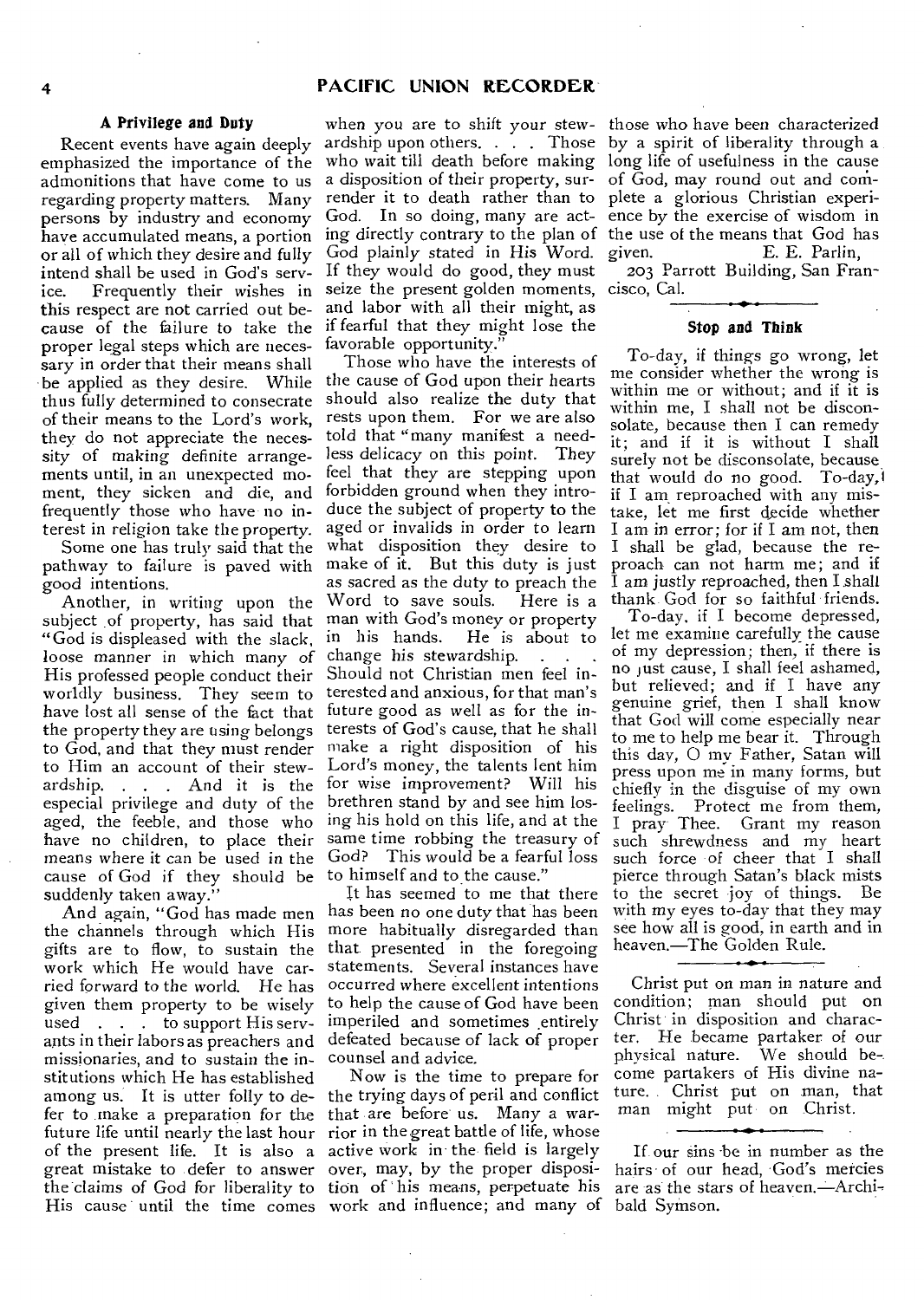#### **A Privilege and Duty**

Recent events have again deeply emphasized the importance of the admonitions that have come to us regarding property matters. Many persons by industry and economy have accumulated means, a portion or all of which they desire and fully intend shall be used in God's service. Frequently their wishes in seize the present golden moments, cisco, Cal. this respect are not carried out because of the failure to take the proper legal steps which are necessary in order that their means shall be applied as they desire. While thus fully determined to consecrate of their means to the Lord's work, they do not appreciate the necessity of making definite arrangements until, in an unexpected moment, they sicken and die, and frequently those who have- no interest in religion take the property.

Some one has truly said that the pathway to failure is paved with good intentions.

subject of property, has said that man with God's money or property "God is displeased with the slack, loose manner in which many of change his stewardship. . . . . His professed people conduct their worldly business. They seem to have lost all sense of the fact that the property they are using belongs to God, and that they must render to Him an account of their stewardship. . . . And it is the for wise improvement? Will his especial privilege and duty of the aged, the feeble, and those who have no children, to place their means where it can be used in the cause of God if they should be to himself and to the cause." suddenly taken away.'

the channels through which His gifts are to flow, to sustain the work which He would have carried forward to the world. He has given them property to be wisely used . . . to support His servants in their labors as preachers and defeated because of lack of proper missionaries, and to sustain the institutions which He has established among us. It is utter folly to de-the trying days of peril and conflict fer to make a preparation for the that are before us. Many a warfuture life until nearly the last hour rior in the great battle of life, whose of the present life. It is also a active work in the field is largely great mistake to defer to answer the claims of God for liberality to His cause until the time comes work and influence; and many of

when you are to shift your stew-those who have been characterized ardship upon others.  $\ldots$ . Those by a spirit of liberality through a who wait till death before making a disposition of their property, surrender it to death rather than to plete a glorious Christian experi-God plainly stated in His Word. If they would do good, they must and labor with all their might, as if fearful that they might lose the favorable opportunity.

Another, in writing upon the Word to save souls. Here is a Those who have the interests of the cause of God upon their hearts should also realize the duty that rests upon them. For we are also told that "many manifest a needless delicacy on this point. They feel that they are stepping upon forbidden ground when they introduce the subject of property to the aged or invalids in order to learn what disposition they desire to make of it. But this duty is just as sacred as the duty to preach the<br>Word to save souls. Here is a in his hands. He is about to Should not Christian men feel interested and anxious, for that man's future good as well as for the interests of God's cause, that he shall make a right disposition of his Lord's money, the talents lent him brethren stand by and see him losing his hold on this life, and at the same time robbing the treasury of God? This would be a fearful loss

And.again, "God has made men has been no one duty that has been It has seemed to me that there more habitually disregarded than that presented in the foregoing statements. Several instances have occurred where excellent intentions to help the cause of God have been imperiled and sometimes entirely counsel and advice.

> Now is the time to prepare for over, may, by the proper disposition of his means, perpetuate his

God. In so doing, many are act-ence by the exercise of wisdom in ing directly contrary to the plan of the use of the means that God has long life of usefulness in the cause of God, may round out and com-E. E. Parlin,

203 Parrott Building, San Fran-

#### **Stop and Think**

To-day, if things go wrong, let me consider whether the wrong is within me or without; and if it is within me, I shall not be disconsolate, because then I can remedy it; and if it is without I shall surely not be disconsolate, because that would do no good. To-day,1 if I am reproached with any mistake, let me first decide whether I am in error; for if I am not, then I shall be glad, because the reproach can not harm me; and if I am justly reproached, then I shall thank God for so faithful friends.

To-day, if I become depressed, let me examine carefully the cause of my depression; then, if there is no just cause, I shall feel ashamed, but relieved; and if I have any genuine grief, then I shall know that God will come especially near to me to help me bear it. Through this day, 0 my Father, Satan will press upon me in many forms, but chiefly in the disguise of my own feelings. Protect me from them, I pray Thee. Grant my reason such shrewdness and my heart such force of cheer that I shall pierce through Satan's black mists to the secret joy of things. Be with my *eyes* to-day that they may see how all is good, in earth and in heaven.—The Golden Rule.

Christ put on man in nature and condition; man should put on Christ in disposition and character. He became partaker of our physical nature. We should be-. come partakers of His divine nature. Christ put on man, that man might put on Christ.

If our sins -be in number as the hairs of our head, God's mercies are as the stars of heaven.- Archibald Syrnson.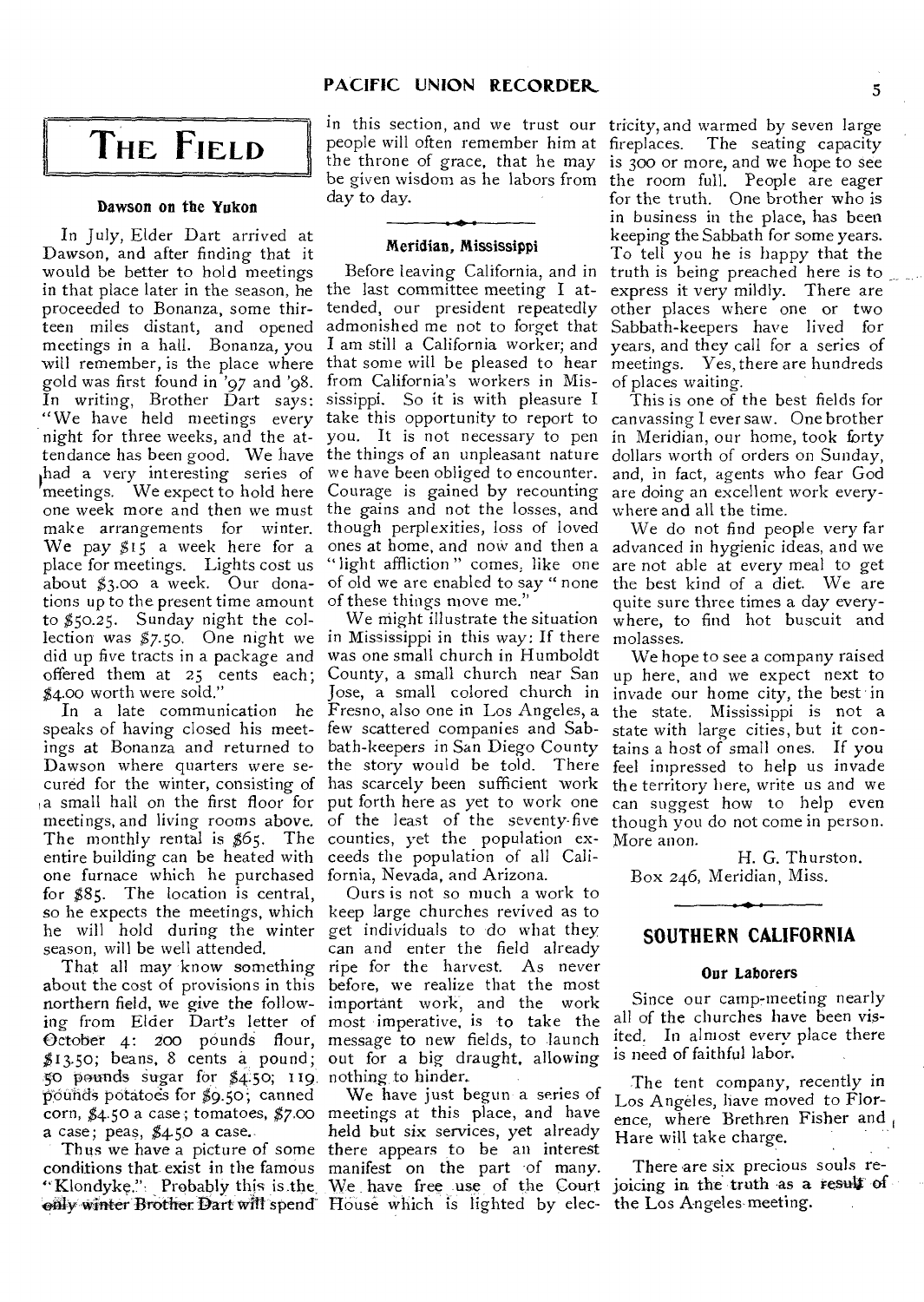## **THE FIELD**

#### Dawson on the Yukon

In July, Elder Dart arrived at Dawson, and after finding that it would be better to hold meetings in that place later in the season, he the last committee meeting I atproceeded to Bonanza, some thirteen miles distant, and opened meetings in a hall. Bonanza, you will remember, is the place where that some will be pleased to hear gold was first found in '97 and '98. In writing, Brother Dart says: "We have held meetings every tendance has been good. We have the things of an unpleasant nature dollars worth of orders on Sunday, had a very interesting series of we have been obliged to encounter. meetings. We expect to hold here Courage is gained by recounting one week more and then we must the gains and not the losses, and make arrangements for winter. We pay  $51\overline{5}$  a week here for a place for meetings. Lights cost us about \$3.00 a week. Our dona- of old we are enabled to say "none tions up to the present time amount of these things move me." to \$50.25. Sunday night the collection was \$7.50. One night we in Mississippi in this way; If there did up five tracts in a package and was one small church in Humboldt offered them at 25 cents each; \$4.00 worth were sold."

speaks of having closed his meet-few scattered companies and Sabings at Bonanza and returned to bath-keepers in San Diego County a small hall on the first floor for put forth here as yet to work one The monthly rental is \$65. The counties, yet the population exentire building can be heated with ceeds the population of all Calione furnace which he purchased fornia, Nevada, and Arizona. for \$85. The location is central, so he expects the meetings, which keep large churches revived as to he will hold during the winter get individuals to do what they season, will be well attended.

about the cost of provisions in this before, we realize that the most northern field, we give the follow-important work, and the work ing from Elder Dart's letter of most imperative, is to take the October 4: 200 pounds flour, message to new fields, to launch \$13.50; beans, 8 cents a pound; 50 pounds sugar for \$4.50; 119 nothing to hinder. pounds potatoes for \$9.5o; canned corn, \$4.50 a case; tomatoes, \$7.00 meetings at this place, and have a case; peas,  $$4.50$  a case.

"Klondyke.", Probably this is.the, only winter Brother Dart will spend

in this section, and we trust our tricity, and warmed by seven large people will often remember him at day to day.

#### Meridian, Mississippi

tended, our president repeatedly I am still a California worker; and from California's workers in Mississippi. So it is with pleasure I take this opportunity to report to though perplexities, loss of loved "light affliction" comes, like one

In a late communication he Fresno, also one in Los Angeles, a meetings, and living rooms above. of the least of the seventy-five though you do not come in person. We might illustrate the situation Jose, a small colored church in

That all may know something ripe for the harvest. As never Ours is not so much a work to can and enter the field already out for a big draught, allowing

Thus we have a picture of some there appears to be an interest conditions that exist in the famous manifest on the part of many. We have just begun- a series of held but six services, yet already We have free use of the Court House which is lighted by elec-

the throne of grace, that he may is  $300$  or more, and we hope to see be given wisdom as he labors from the room full. People are eager Before leaving California, and in truth is being preached here is to admonished me not to forget that Sabbath-keepers have lived for The seating capacity for the truth. One brother who is in business in the place, has been keeping the Sabbath for some years. To tell you he is happy that the express it very mildly. There are other places where one or two years, and they call for a series of meetings. Yes, there are hundreds of places waiting.

night for three weeks, and the at-you. It is not necessary to pen in Meridian, our home, took forty This is one of the best fields for canvassing I ever saw. One brother and, in fact, agents who fear God are doing an excellent work everywhere and all the time.

ones at home, and now and then a advanced in hygienic ideas, and we We do not find people very far are not able at every meal to get the best kind of a diet. We are quite sure three times a day everywhere, to find hot buscuit and molasses.

Dawson where quarters were se- the story would be told. There feel impressed to help us invade cured for the winter, consisting of has scarcely been sufficient work the territory here, write us and we County, a small church near San up here, and we expect next to We hope to see a company raised invade our home city, the best in the state. Mississippi is not a state with large cities, but it contains a host of small ones. If you can suggest how to help even More anon.

H. G. Thurston. Box 246, Meridian, Miss.

#### **SOUTHERN CALIFORNIA**

#### Our Laborers

Since our camp-meeting nearly all of the churches have been visited. In almost every place there is need of faithful labor.

The tent company, recently in Los Angeles, have moved to Florence, where Brethren Fisher and Hare will take charge.

There are six precious souls rejoicing in the truth as a result of the Los Angeles-meeting.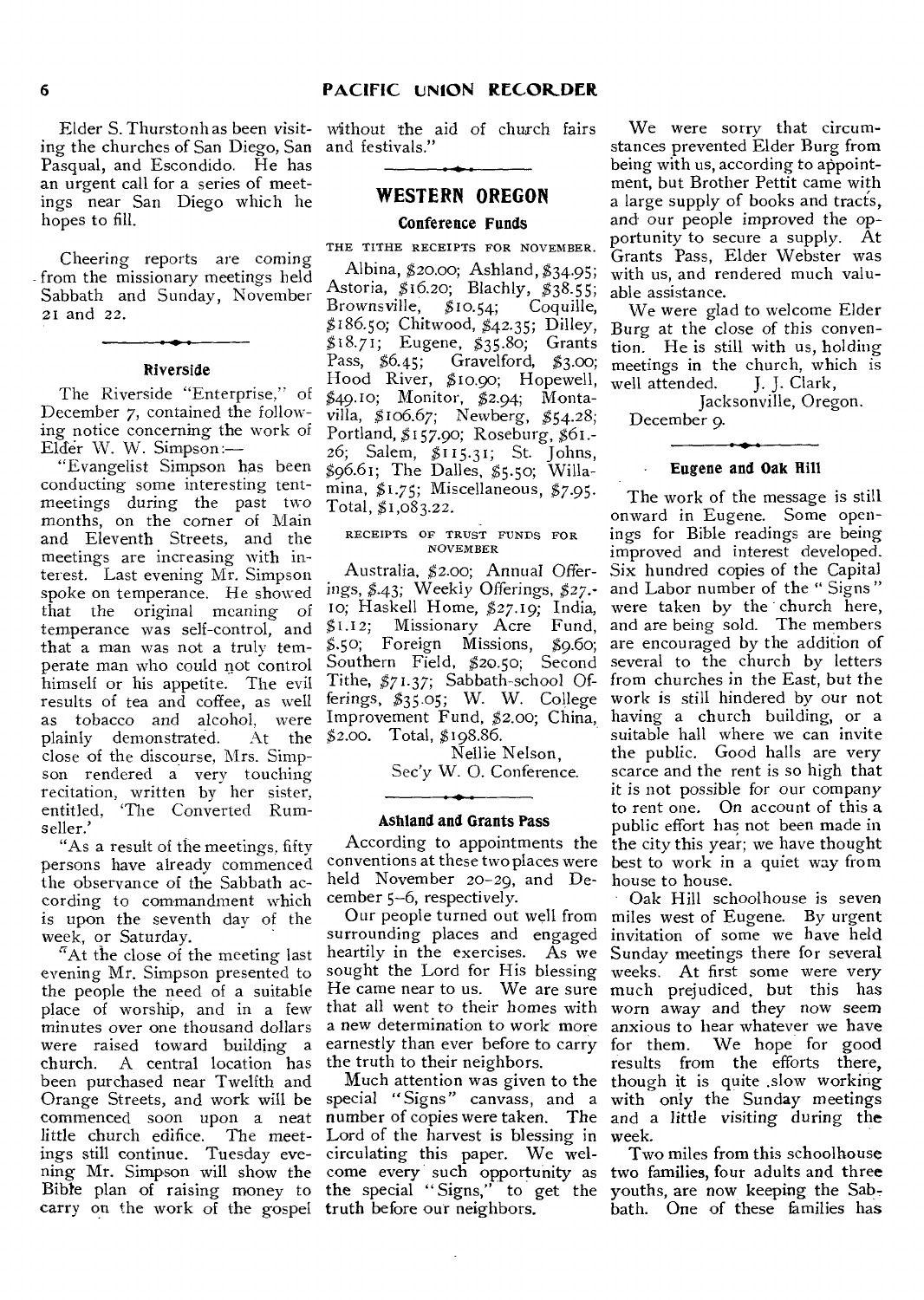ing the churches of San Diego, San and festivals." Pasqual, and Escondido. He has an urgent call for a series of meetings near San Diego which he hopes to fill.

Cheering reports are coming from the missionary meetings held Sabbath and Sunday, November 21 and 22.

#### **Riverside**

The Riverside "Enterprise." of December 7, contained the following notice concerning the work of Elder W. W. Simpson:—

"Evangelist Simpson has been conducting some interesting tentmeetings during the past two months, on the corner of Main and Eleventh Streets, and the meetings are increasing with interest. Last evening Mr. Simpson spoke on temperance. He showed that the original meaning of temperance was self-control, and that a man was not a truly temperate man who could not control himself or his appetite. The evil results of tea and coffee, as well as tobacco and alcohol, were plainly demonstrated. close of the discourse, Mrs. Simpson rendered a very touching recitation, written by her sister, entitled, 'The Converted Rumseller.'

"As a result of the meetings, fifty persons have already commenced the observance of the Sabbath according to commandment which is upon the seventh day of the week, or Saturday.

"At the close of the meeting last evening Mr. Simpson presented to the people the need of a suitable minutes over one thousand dollars were raised toward building a<br>church. A central location has A central location has been purchased near Twelfth and Orange Streets, and work will be special "Signs" canvass, and a with only the Sunday meetings commenced soon upon a neat little church edifice. The meetings still continue. Tuesday evening Mr. Simpson will show the Bible plan of raising money to carry on the work of the gospel truth before our neighbors.

Elder S. Thurstonh as been visit-without the aid of church fairs

#### **WESTERN OREGON**

#### **Conference Funds**

THE TITHE RECEIPTS FOR NOVEMBER.

Albina, \$20.0o; Ashland, \$34-95; Astoria, \$16.20; Blachly, \$38.55;<br>Brownsville, \$10.54; Coquille, Brownsville,  $$10.54;$ \$186.50; Chitwood, \$42.35; Dilley, Burg at the close of this conven-\$18.71; Eugene, \$35.8o; Grants Pass, \$6.45; Gravelford, \$3.00; Hood River, \$10.90; Hopewell, \$49.10; Monitor, \$2.94; Montavilla, \$106.67; Newberg, \$54.28; Portland, \$157.90; Roseburg, \$61.- 26; Salem, \$115.31; St. Johns, \$96.61; The Dalles, \$5.50; Willamina, \$1.75; Miscellaneous, \$7.95. Total,  $$1,083.22$ .

#### RECEIPTS OF TRUST FUNDS FOR NOVEMBER

Australia, \$2.00; Annual Offerings, \$.43; Weekly Offerings, \$27.- 10; Haskell Home, \$27.19; India,<br>\$1.12; Missionary Acre Fund, \$1.12; Missionary Acre Fund, At the \$2.00. Total, \$198.86.

> Nellie Nelson, Sec'y W. 0. Conference.

#### **Ashland and Grants Pass**

held November 20-29, and December 5-6, respectively.

place of worship, and in a few that all went to their homes with worn away and they now seem surrounding places and engaged invitation of some we have held heartily in the exercises. As we Sunday meetings there for several sought the Lord for His blessing He came near to us. We are sure a new determination to work more anxious to hear whatever we have earnestly than ever before to carry for them. the truth to their neighbors.

> number of copies were taken. The and a little visiting during the Lord of the harvest is blessing in week. circulating this paper. We welcome every such opportunity as the special " Signs," to get the

We were sorry that circumstances prevented Elder Burg from being with us, according to appointment, but Brother Pettit came with a large supply of books and tracts, and our people improved the opportunity to secure a supply. At Grants Pass, Elder Webster was with us, and rendered much valuable assistance.

We were glad to welcome Elder tion. He is still with us, holding meetings in the church, which is<br>well attended. J. J. Clark, well attended.

Jacksonville, Oregon.

December 9.

#### **Eugene and Oak Rill**

\$.5o; Foreign Missions, \$9.60; are encouraged by the addition of Southern Field, \$20.50; Second several to the church by letters Tithe, \$71.37; Sabbath-school Of-from churches in the East, but the ferings, \$35.o5; W. W. College work is still hindered by our not Improvement Fund, \$2.00; China, having a church building, or a According to appointments the the city this year; we have thought conventions at these two places were best to work in a quiet way from The work of the message is still onward in Eugene. Some openings for Bible readings are being improved and interest developed. Six hundred copies of the Capital and Labor number of the " Signs " were taken by the church here, and are being sold. The members suitable hall where we can invite the public. Good halls are very scarce and the rent is so high that it is not possible for our company to rent one. On account of this a public effort has not been made in house to house.

Our people turned out well from miles west of Eugene. By urgent Much attention was given to the though it is quite .slow working Oak Hill schoolhouse is seven weeks. At first some were very much prejudiced, but this has We hope for good results from the efforts there,

> Two miles from this schoolhouse two families, four adults and three youths, are now keeping the Sabbath. One of these families has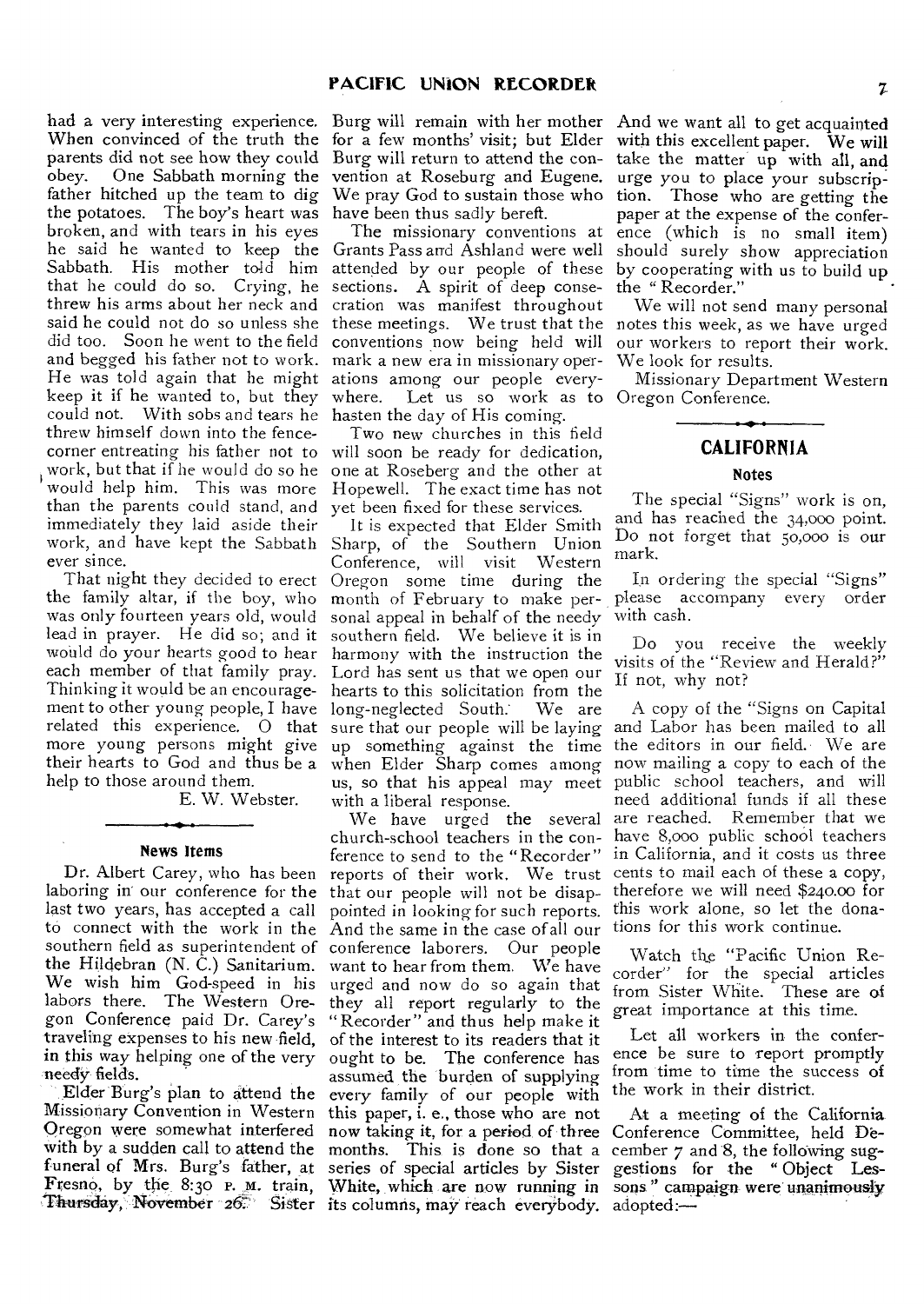had a very interesting experience. When convinced of the truth the parents did not see how they could<br>obey. One Sabbath morning the One Sabbath morning the father hitched up the team to dig the potatoes. The boy's heart was broken, and with tears in his eyes he said he wanted to keep the Grants Pass and Ashland were well Sabbath. His mother told him that he could do so. Crying, he threw his arms about her neck and said he could not do so unless she did too. Soon he went to the field and begged his father not to work. He was told again that he might keep it if he wanted to, but they could not. With sobs and tears he hasten the day of His coming. threw himself down into the fencecorner entreating his father not to work, but that if he would do so he would help him. This was more than the parents could stand, and immediately they laid aside their work, and have kept the Sabbath ever since.

That night they decided to erect the family altar, if the boy, who was only fourteen years old, would lead in prayer. He did so; and it would do your hearts good to hear each member of that family pray. Thinking it would be an encouragement to other young people, I have related this experience. 0 that more young persons might give their hearts to God and thus be a help to those around them.

E. W. Webster.

#### News Items

Dr. Albert Carey, who has been laboring in our conference for the last two years, has accepted a call to connect with the work in the southern field as superintendent of the Hildebran (N. C.) Sanitarium. We wish him God-speed in his labors there. The Western Oregon Conference paid Dr. Carey's traveling expenses to his new field, in this way helping one of the very needy fields.

Elder Burg's plan to attend the Missionary Convention in Western Oregon were somewhat interfered Thursday, November 26. Sister its columns, may reach everybody. adopted:

Burg will remain with her mother for a few months' visit; but Elder Burg will return to attend the convention at Roseburg and Eugene. We pray God to sustain those who have been thus sadly bereft.

The missionary conventions at attended by our people of these sections. A spirit of deep consecration was manifest throughout these meetings. We trust that the conventions now being held will mark a new era in missionary operations among our people everywhere. Let us so work as to

Two new churches in this field will soon be ready for dedication, one at Roseberg and the other at Hopewell. The exact time has not yet been fixed for these services.

It is expected that Elder Smith Sharp, of the Southern Union<br>Conference. will visit Western Conference, will visit Oregon some time during the month of February to make personal appeal in behalf of the needy southern field. We believe it is in harmony with the instruction the Lord has sent us that we open our hearts to this solicitation from the<br>long-neglected South. We are long-neglected South. sure that our people will be laying up something against the time when Elder Sharp comes among us, so that his appeal may meet with a liberal response.

with by a sudden call to attend the months. This is done so that a cember 7 and 8, the following sugfuneral of Mrs. Burg's father, at series of special articles by Sister gestions for the "Object Les-Fresno, by the 8:30 P. M. train, White, which are now running in sons" campaign were unanimously We have urged the several church-school teachers in the conference to send to the "Recorder" reports of their work. We trust that our people will not be disappointed in looking for such reports. And the same in the case of all our conference laborers. Our people want to hear from them. We have urged and now do so again that they all report regularly to the "Recorder" and thus help make it of the interest to its readers that it ought to be. The conference has assumed the burden of supplying every family of our people with this paper, i. e., those who are not now taking it, for a period of three Conference Committee, held De-

And we want all to get acquainted with this excellent paper. We will take the matter up with all, and urge you to place your subscription. Those who are getting the paper at the expense of the conference (which is no small item) should surely show appreciation by cooperating with us to build up the " Recorder."

We will not send many personal notes this week, as we have urged our workers to report their work. We look for results.

Missionary Department Western Oregon Conference.

#### **CALIFORNIA**

#### Notes

The special "Signs" work is on, and has reached the 34,000 point. Do not forget that 50,000 is our mark.

In ordering the special "Signs" please accompany every order with cash.

Do you receive the weekly visits of the "Review and Herald?" If not, why not?

A copy of the "Signs on Capital and Labor has been mailed to all the editors in our field. We are now mailing a copy to each of the public school teachers, and will need additional funds if all these are reached. Remember that we have 8,000 public school teachers in California, and it costs us three cents to mail each of these a copy, therefore we will need \$240.00 for this work alone, so let the donations for this work continue.

Watch the "Pacific Union Recorder" for the special articles from Sister White. These are of great importance at this time.

Let all workers in the conference be sure to report promptly from time to time the success of the work in their district.

At a meeting of the California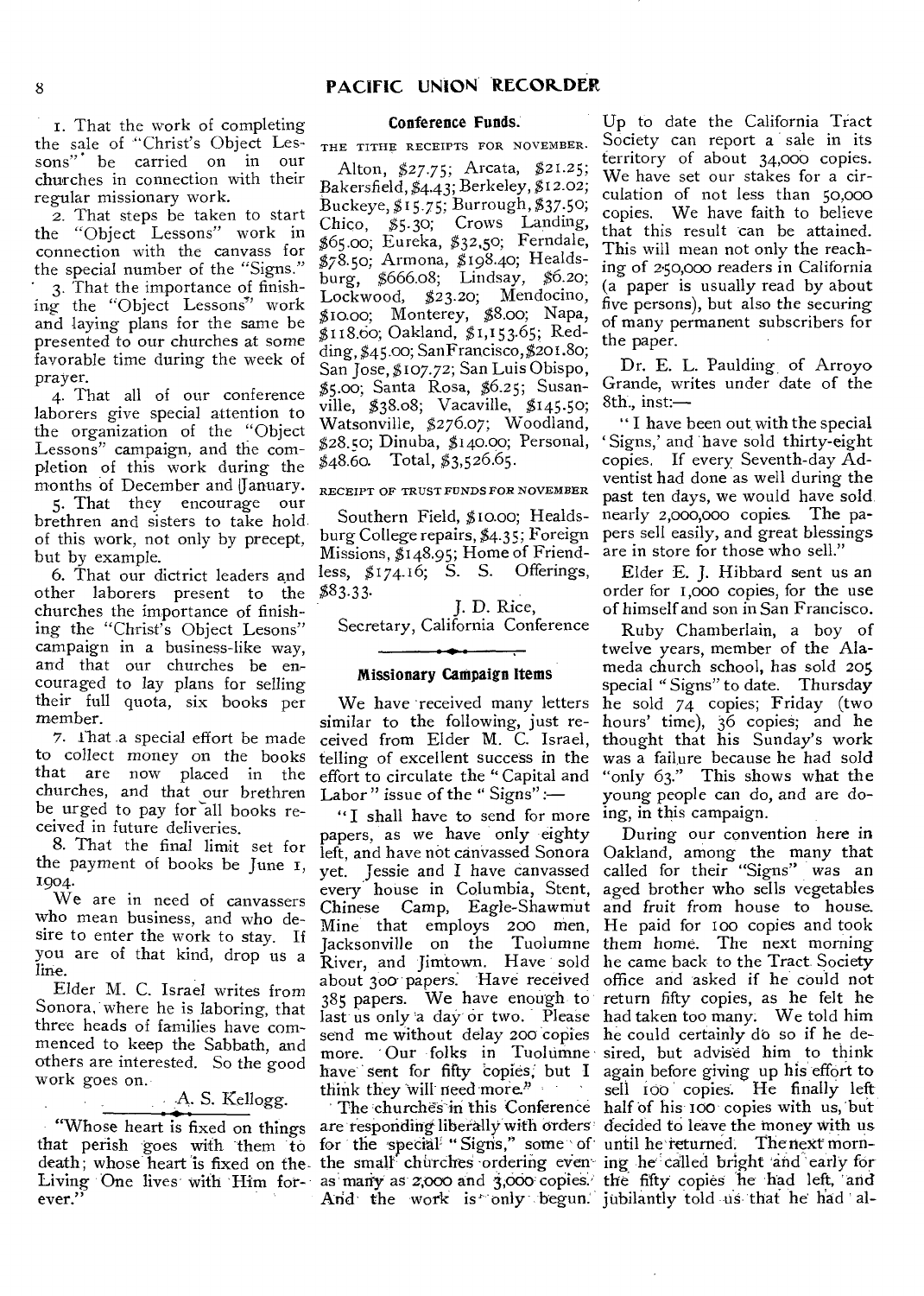i. That the work of completing the sale of "Christ's Object Lessons"' be carried on in our churches in connection with their regular missionary work.

2. That steps be taken to start the "Object Lessons" work in connection with the canvass for the special number of the "Signs."

3. That the importance of finishing the "Object Lessons" work and laying plans for the same be presented to our churches at some favorable time during the week of prayer.

4. That all of our conference laborers *give* special attention to the organization of the "Object Lessons" campaign, and the completion of this work during the months of December and January.

5. That they encourage our brethren and sisters to take hold of this work, not only by precept, but by example.

6. That our dictrict leaders and other laborers present to the churches the importance of finishing the "Christ's Object Lesons" campaign in a business-like way, and that our churches be encouraged to lay plans for selling their full quota, six books per member.

7. Ihat a special effort be made to collect money on the books that are now placed in the churches, and that our brethren be urged to pay for all books received in future deliveries.

8. That the final limit set for the payment of books be June i, 1904.

We are in need of canvassers who mean business, and who desire to enter the work to stay. If you are of that kind, drop us a line.

Elder M. C. Israel writes from Sonora, where he is laboring, that three heads of families have commenced to keep the Sabbath, and others are interested. So the good work goes on.

A. S. Kellogg.

that perish goes with them 'to ever."

#### Conference Funds.

THE TITHE RECEIPTS FOR NOVEMBER.

Alton, \$27.75; Arcata, \$21.25; Bakersfield, \$4.43; Berkeley, \$12.02; Buckeye, \$15.75; Burrough, \$37.50; Chico, \$5.30; Crows Landing, \$65.00; Eureka, \$32,50; Ferndale, \$78.50; Armona, \$198.40; Healdsburg, \$666.08; Lindsay, \$6.20; Lockwood, \$23.20; Mendocino, \$10.00; Monterey, \$8.00; Napa, \$118.60; Oakland, \$1,153.65; Redding, \$45.00; SanFrancisco, \$201.80; San Jose, \$107.72; San Luis Obispo, \$5.00; Santa Rosa, \$6.25; Susanville,  $$38.08$ ; Vacaville,  $$145.50$ ; Watsonville, \$276.07; Woodland, \$28Ao; Dinuba, \$140.00; Personal,  $$48.60.$  Total,  $$3,526.65.$ 

RECEIPT OF TRUST FUNDS FOR NOVEMBER

Southern Field, \$10.00; Healdsburg College repairs, \$4.35; Foreign Missions, \$148.95; Home of Friendless, \$174.16; S. S. Offerings, \$83.33-

J. D. Rice, Secretary, California Conference

#### Missionary Campaign Items

We have received many letters similar to the following, just received from Elder M. C. Israel, telling of excellent success in the effort to circulate the " Capital and Labor" issue of the "Signs" :-

" I shall have to send for more papers, as we have only eighty yet. Jessie and I have canvassed every house in Columbia, Stent, Mine that employs 200 men, He paid for too copies and took about 300-papers: Have received last us only a day or two. Please had taken too many. We told him send me without delay 200 copies he could certainly do so if he dehave sent for fifty 'copies; but **I**  think they will need more."

for the special "Signs," some of until he returned. The next morn-And the work is only begun. jubilantly told us that he had al-

Up to date the California Tract Society can report a sale in its territory of about 34,00o copies. We have set our stakes for a circulation of not less than 50,000 copies. We have faith to believe that this result can be attained. This will mean not only the reaching of 2.50,000 readers in California (a paper is usually read by about five persons), but also the securing of many permanent subscribers for the paper.

Dr. E. L. Paulding, of Arroyo Grande, writes under date of the 8th., inst:—

" I have been out with the special 'Signs,' and have sold thirty-eight copies. If every Seventh-day Adventist had done as well during the past ten days, we would have sold, nearly 2,000,000 copies. The papers sell easily, and great blessings are in store for those who sell."

Elder E. J. Hibbard sent us an order for 1,000 copies, for the use of himself and son in San Francisco.

Ruby Chamberlain, a boy of twelve years, member of the Alameda church school, has sold 205 special " Signs" to date. Thursday he sold 74 copies; Friday (two hours' time), 36 copies; and he thought that his Sunday's work was a failure because he had sold "only 63." This shows what the young people can do, and are doing, in this campaign.

"Whose heart is fixed on things are responding liberally with orders' decided to leave the money with us death; whose heart is fixed on the-the small churches ordering even-ing he called bright and early for Living One lives with Him for- as many as 2,000 and 3,000 copies. the fifty copies he had left, and left, and have not canvassed Sonora Oakland, among the many that Chinese Camp, Eagle-Shawmut and fruit from house to house. Jacksonville on the Tuolumne them home. The next morning River, and Jimtown. Have sold he came back to the Tract. Society 385 papers. We have enough to return fifty copies, as he felt he more. • Our folks in Tuolumne sired, but advised him to think The churches in this Conference half of his 100 copies with us, but During our convention here in called for their "Signs" was an aged brother who sells vegetables office and asked if he could not again, before giving up his effort to sell too copies. He finally left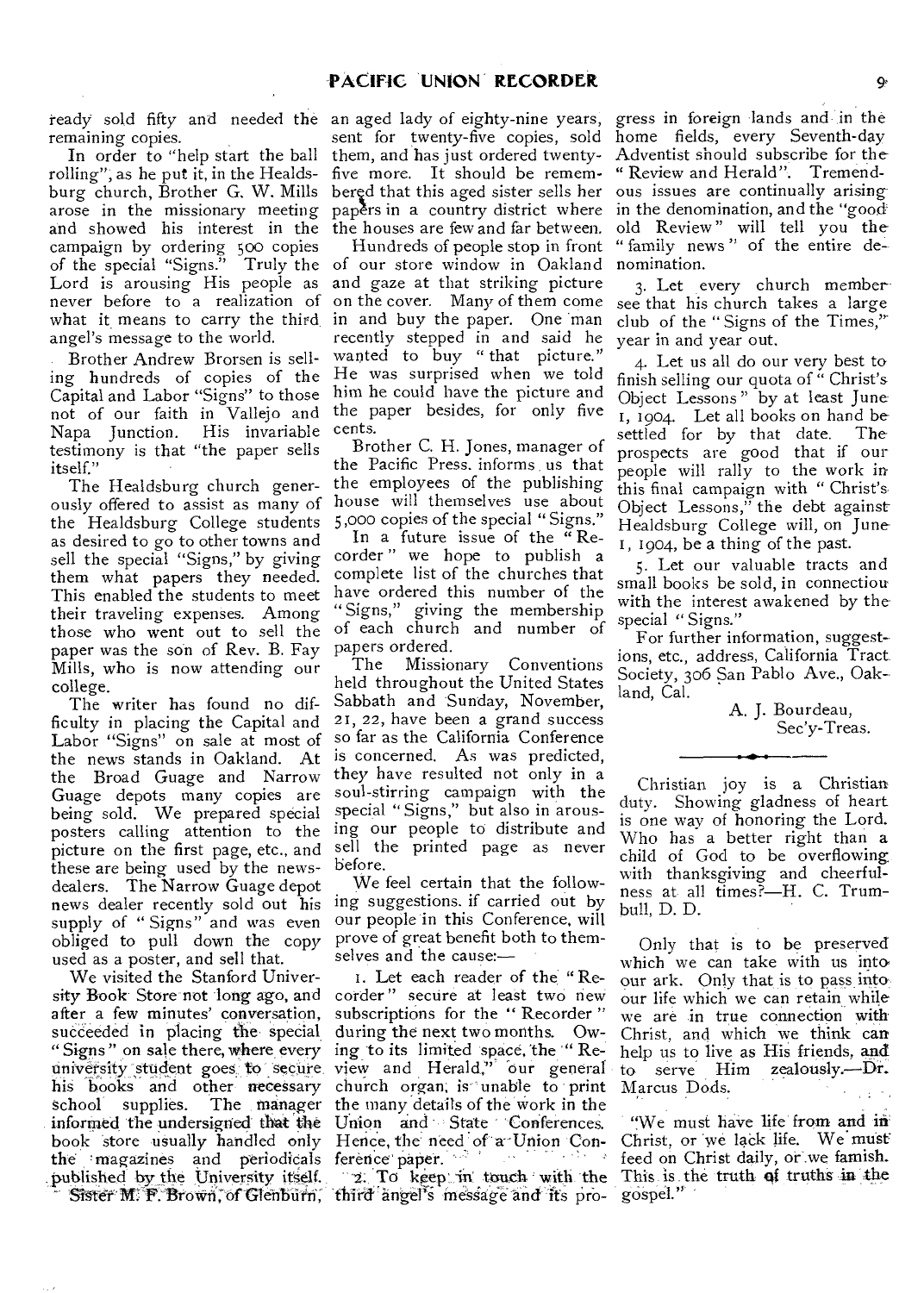remaining copies.

In order to "help start the ball rolling"; as he put it, in the Healdsburg church, Brother G. W. Mills arose in the missionary meeting and showed his interest in the campaign by ordering 500 copies of the special "Signs." Truly the Lord is arousing His people as never before to a realization of what it means to carry the third, in and buy the paper. One man angel's message to the world.

Brother Andrew Brorsen is selling hundreds of copies of the Capital and Labor "Signs" to those not of our faith in Vallejo and Napa Junction. His invariable testimony is that "the paper sells itself."

The Healdsburg church generously offered to assist as many of the Healdsburg College students as desired to go to other towns and sell the special "Signs," by giving them what papers they needed. This enabled the students to meet their traveling expenses. Among those who went out to sell the paper was the son of Rev. B. Fay Mills, who is now attending our college.

The writer has found no difficulty in placing the Capital and Labor "Signs" on sale at most of the news stands in Oakland. At the Broad Guage and Narrow Guage depots many copies are being sold. We prepared special posters calling attention to the picture on the first page, etc., and these are being used by the newsdealers. The Narrow Guage depot news dealer recently sold out his supply of "Signs" and was even obliged to pull down the copy used as a poster, and sell that.

We visited the Stanford University Book Store not 'long ago, and after a few minutes' conversation, succeeded in placing the special " Signs" on sale there, where every university student goes to secure. his books and other necessary<br>school supplies. The manager school supplies. The manager the many details of the work in the informed the undersigned that the Union and State Conferences. book store usually handled only Hence, the need of a Union Conthe 'magazines and periodicals ference" paper. ' published by the University itself.

ready sold fifty and needed the an aged lady of eighty-nine years, sent for twenty-five copies, sold them, and has just ordered twentyfive more. It should be remempapers in a country district where in the denomination, and the "good the houses are few and far between.

Hundreds of people stop in front of our store window in Oakland nomination. and gaze at that striking picture on the cover. Many of them come recently stepped in and said he wanted to buy "that picture." He was surprised when we told him he could have the picture and the paper besides, for only five cents.

Brother C. H. Jones, manager of the Pacific Press, informs us that the employees of the publishing house will themselves use about 5,000 copies of the special "Signs."

In a future issue of the " Recorder " we hope to publish a complete list of the churches that have ordered this number of the "Signs," giving the membership of each church and number of papers ordered.

The Missionary Conventions held throughout the United States Sabbath and Sunday, November, 21, 22, have been a grand success so far as the California Conference is concerned. As was predicted, they have resulted not only in a soul-stirring campaign with the special " Signs," but also in arousing our people to distribute and sell the printed page as never before.

We feel certain that the following suggestions. if carried out by our people in this Conference, will prove of great benefit both to themselves and the cause:—

I. Let each reader of the "Recorder " secure at least two new subscriptions for the "Recorder" during the next two months. Owing to its limited space, the "Review and Herald," our general church organ; is unable to print

Sister M. F. Brown, of Glenburn, third'angel's message and its pro-2. To keep in touch with the

bered that this aged sister sells her ous issues are continually arising gress in foreign lands and in the home fields, every Seventh-day Adventist should subscribe for the- " Review and Herald". Tremendold Review " will tell you the "family news" of the entire de-

> 3. Let every church member see that his church takes a large club of the " Signs of the Times,' year in and year out.

4. Let us all do our very best to finish selling our quota of " Christ's Object Lessons" by at least June I, 1904. Let all books on hand be settled for by that date. The prospects are good that if our people will rally to the work in this final campaign with " Christ's Object Lessons," the debt against Healdsburg College will, on June I, 1904, be a thing of the past.

5. Let our valuable tracts and small books be sold, in connectiou with the interest awakened by the special "Signs."

For further information, suggestions, etc., address, California Tract. Society, 306 San Pablo Ave., Oakland, Cal.

> A. J. Bourdeau, Sec'y-Treas.

Christian joy is a Christian duty. Showing gladness of heart is one way of honoring the Lord. Who has a better right than a child of God to be overflowing with thanksgiving and cheerfulness at all times?—H. C. Trumbull, D. D.

Only that is to be preserved which we can take with us into our ark. Only that is to pass into our life which we can retain while we are in true connection with Christ, and which we think can help us to live as His friends, and to serve Him zealously.--Dr. Marcus Dods.

"We must have life from and in Christ, or we lack life. We must feed on Christ daily, or .we famish. This is the truth of truths in the gospel."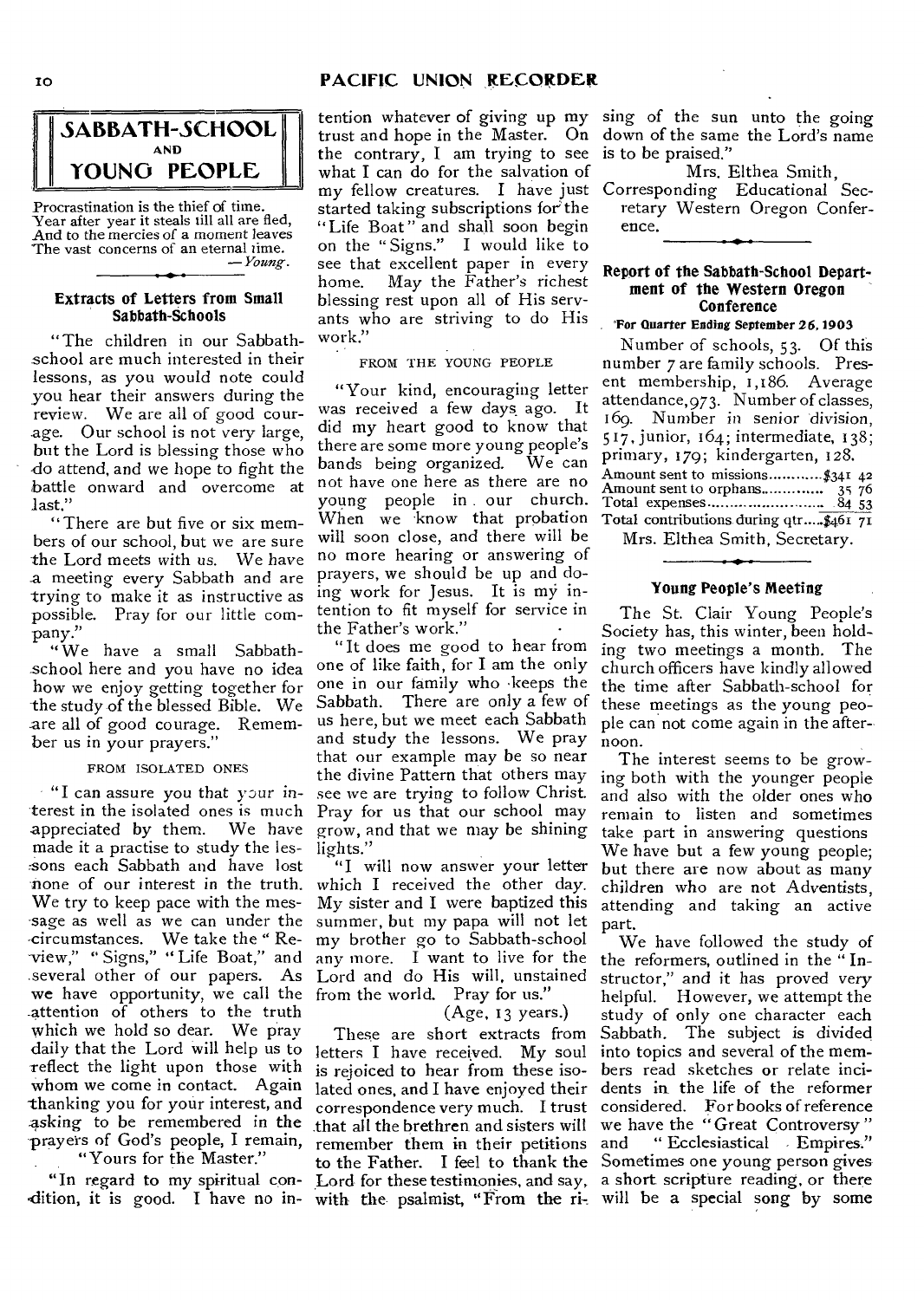#### 10 **PACIFIC UNION RECORDER**



Procrastination is the thief of time. Year after year it steals till all are fled, And to the mercies of a moment leaves The vast concerns of an eternal time. *— Young.* 

#### **Extracts of Letters from Small Sabbath-Schools**

"The children in our Sabbathschool are much interested in their lessons, as you would note could you hear their answers during the review. We are all of good courage. Our school is not very large, but the Lord is blessing those who do attend, and we hope to fight the battle onward and overcome at last."

"There are but five or six members of our school, but we are sure the Lord meets with *us.* We have a meeting every Sabbath and are trying to make it as instructive as possible. Pray for our little company."

"We have a small Sabbathschool here and you have no idea how we enjoy getting together for the study of the blessed Bible. We are all of good courage. Remember us in your prayers.'

#### FROM ISOLATED ONES

 $\cdot$  "I can assure you that your interest in the isolated ones is much appreciated by them. We have made it a practise to study the lessons each Sabbath and have lost none of our interest in the truth. We try to keep pace with the message as well as we can under the -circumstances. We take the " Re- -view," " Signs," " Life Boat," and several other of our papers. As Lord and do His will, unstained we have opportunity, we call the from the world. Pray for us." -attention of others to the truth which we hold so dear. We pray daily that the Lord will help us to letters I have received. My soul reflect the light upon those with whom we come in contact. Again -thanking you for your interest, and :asking to be remembered in the prayers of God's people, I remain,

"Yours for the Master."

dition, it is good. I have no in- with the psalmist, "From the ri- will be a special song by some

tention whatever of giving up my trust and hope in the Master. On the contrary, I am trying to see what I can do for the salvation of my fellow creatures. I have just started taking subscriptions for the "Life Boat" and shall soon begin on the " Signs." I would like to see that excellent paper in every home. May the Father's richest blessing rest upon all of His servants who are striving to do His work."

FROM THE YOUNG PEOPLE

"Your kind, encouraging letter was received a few days ago. It did my heart good to know that there are some more young people's bands being organized. We can not have one here as there are no young people in our church. When we know that probation will soon close, and there will be no more hearing or answering of prayers, we should be up and doing work for Jesus. It is my intention to fit myself for service in the Father's work." •

"It does me good to hear from one of like faith, for I am the only one in our family who -keeps the Sabbath. There are only a few of us here, but we meet each Sabbath and study the lessons. We pray that our example may be so near the divine Pattern that others may see we are trying to follow Christ. Pray for us that our school may grow, and that we may be shining lights."

"I will now answer your letter which I received the other day. My sister and I were baptized this summer, but my papa will not let my brother go to Sabbath-school any more. **Iwant** to live for the

#### (Age, 13 years.)

These are short extracts from is rejoiced to hear from these isolated ones, and I have enjoyed their correspondence very much. I trust that all the brethren and sisters will remember them in their petitions to the Father. I feel to thank the

sing of the sun unto the going down of the same the Lord's name is to be praised."

Mrs. Elthea Smith, Corresponding Educational Secretary Western Oregon Conference.

#### **Report of the Sabbath-School Department of the Western Oregon Conference**

#### 'For Quarter Ending September 26, 1903

Number of schools, 53. Of this number 7 are family schools. Present membership, 1,186. Average attendance, 973. Number of classes, 169. Number in *senior* division, 517, junior, 164; intermediate, 138; primary, 179; kindergarten, 128. Amount sent to missions..............\$34 $I$  42 Amount sent to orphans 35 76 Total expenses 84 53 Total contributions during qtr.....\$461 71

Mrs. Elthea Smith, Secretary.

#### **Young People's Meeting**

The St. Clair Young People's Society has, this winter, been holding two meetings a month. The church officers have kindly allowed the time after Sabbath-school for these meetings as the young people can not come again in the afternoon.

The interest seems to be growing both with the younger people and also with the older ones who remain to listen and sometimes take part in answering questions We have but a few young people; but there are now about as many children who are not Adventists, attending and taking an active part.

"In regard to my spiritual con- Lord for these testimonies, and say, a short scripture reading, or there We have followed the study of the reformers, outlined in the " Instructor," and it has proved *very*  helpful. However, we attempt the study of only one character each Sabbath. The subject is divided into topics and several of the members read sketches or relate incidents in the life of the reformer considered. For books of reference we have the "Great Controversy " and "Ecclesiastical Empires." Sometimes one young person gives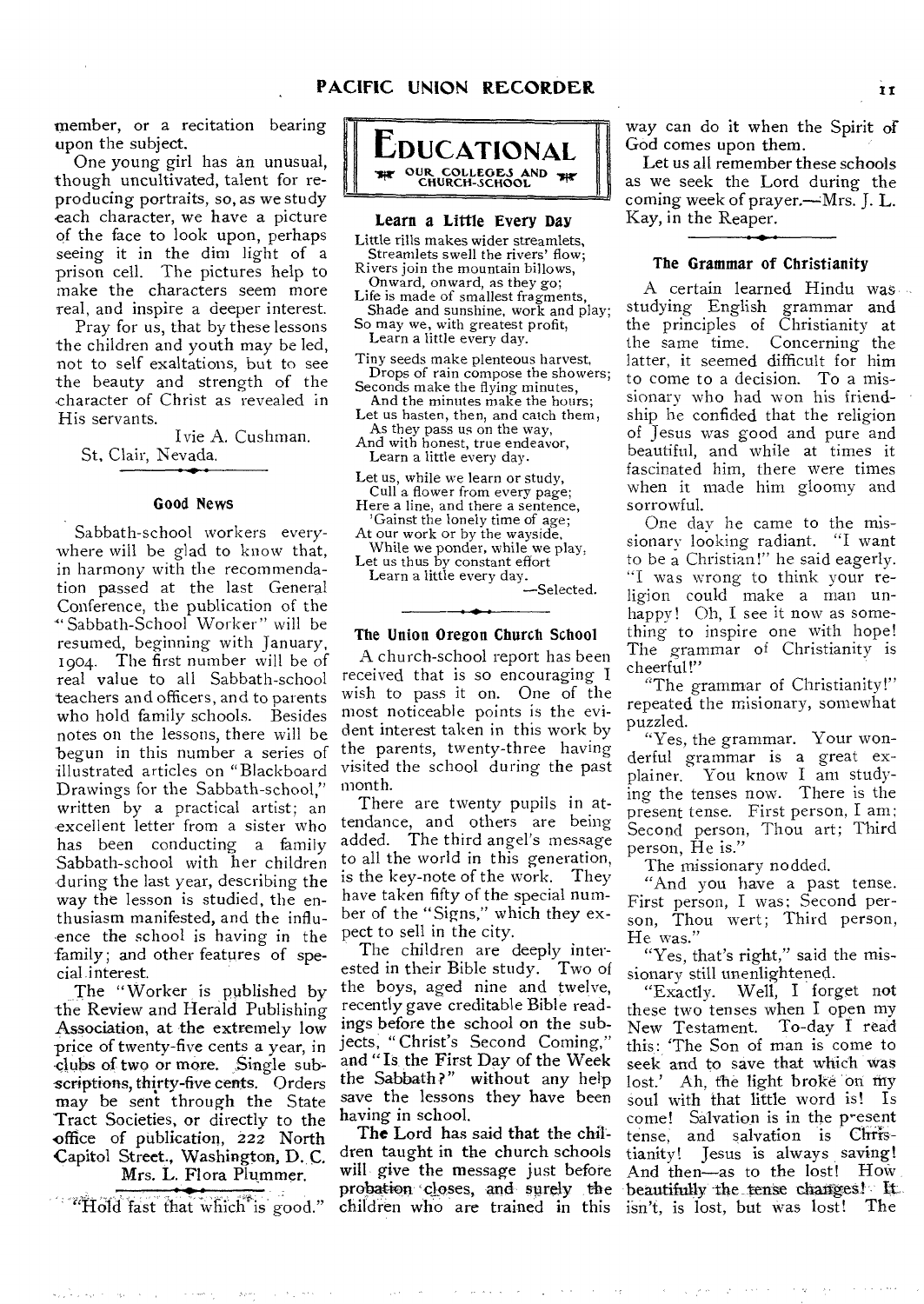member, or a recitation bearing upon the subject.

One young girl has an unusual, though uncultivated, talent for reproducing portraits, so, as we study each character, we have a picture of the face to look upon, perhaps seeing it in the dim light of a prison cell. The pictures help to make the characters seem more real, and inspire a deeper interest.

Pray for us, that by these lessons the children and youth may be led, not to self exaltations, but to see the beauty and strength of the character of Christ as revealed in His servants.

Ivie A. Cushman. St. Clair, Nevada.

#### Good News

Sabbath-school workers everywhere will be glad to know that, in harmony with the recommendation passed at the last General Conference, the publication of the 'Sabbath-School Worker" will be resumed, beginning with January, 1904. The first number will be of real value to all Sabbath-school teachers and officers, and to parents who hold family schools. Besides notes on the lessons, there will be begun in this number a series of illustrated articles on "Blackboard Drawings for the Sabbath-school," written by a practical artist; an excellent letter from a sister who has been conducting a family Sabbath-school with her children during the last year, describing the way the lesson is studied, the enthusiasm manifested, and the influence the school is having in the family; and other features of special.interest.

The "Worker is published by the Review and Herald Publishing Association, at the extremely low price of twenty-five cents a year, in clubs of two or more. Single subscriptions, thirty-five cents. Orders may be sent through the State Tract Societies, or directly to the office of publication, 222 North Capitol Street., Washington, D. C. Mrs. L. Flora Plummer.

"Hold fast that which is good."

الحاليهم الحيومية



#### Learn a Little Every Day

Little rills makes wider streamlets, Streamlets swell the rivers' flow;

Rivers join the mountain billows, Onward, onward, as they go;

Life is made of smallest fragments, Shade and sunshine, work and play;

So may we, with greatest profit, Learn a little every day.

Tiny seeds make plenteous harvest, Drops of rain compose the showers;

Seconds make the flying minutes, And the minutes make the hours;

Let us hasten, then, and catch them, As they pass us on the way,

And with honest, true endeavor, Learn a little every day.

Let us, while we learn or study, Cull a flower from every page;

Here a line, and there a sentence, 'Gainst the lonely time of age;

At our work or by the wayside, While we ponder, while we play. Let us thus by constant effort

Learn a little every day.

-Selected.

#### The Union Oregon Church School

A church-school report has been received that is so encouraging I wish to pass it on. One of the most noticeable points is the evident interest taken in this work by the parents, twenty-three having visited the school during the past month.

There are twenty pupils in attendance, and others are being added. The third angel's message to all the world in this generation, is the key-note of the work. They have taken fifty of the special number of the "Signs," which they expect to sell in the city.

The children are deeply interested in their Bible study. Two of the boys, aged nine and twelve, recently gave creditable Bible readings before the school on the subjects, "Christ's Second Coming," and "Is the First Day of the Week the Sabbath?" without any help save the lessons they have been having in school.

The Lord has said that the children taught in the church schools will give the message just before probation 'closes, and surely the children who are trained in this

way can do it when the Spirit of God comes upon them.

Let *us* all remember these schools as we seek the Lord during the coming week of prayer.—Mrs. J. L. Kay, in the Reaper.

#### The Grammar of Christianity

A certain learned Hindu was studying English grammar and the principles of Christianity at the same time. Concerning the latter, it seemed difficult for him to come to a decision. To a missionary who had won his friendship he confided that the religion of Jesus was good and pure and beautiful, and while at times it fascinated him, there were times when it made him gloomy and sorrowful.

One day he came to the missionary looking radiant. "I want to be a Christian!" he said eagerly. "I was wrong to think your religion could make a man unhappy! Oh, I see it now as something to inspire one with hope! The grammar of Christianity is cheerful!"

"The grammar of Christianity!" repeated the misionary, somewhat puzzled.

"Yes, the grammar. Your wonderful grammar is a great explainer. You know I am studying the tenses now. There is the present tense. First person, I am; Second person, Thou art; Third person, He is."

The missionary nodded.

"And you have a past tense. First person, I was; Second person, Thou wert; Third person, He was."

"Yes, that's right," said the missionary still unenlightened.<br>"Exactly. Well, I forg

Well, I forget not these two tenses when I open my New Testament. To-day I read this: The Son of man is come to seek and to save that which was lost.' Ah, the light broke on my soul with that little word is! Is come! Salvation is in the present tense, and salvation is Christianity! Jesus is always saving! And then—as to the lost! How beautifully the tense changes! It isn't, is lost, but was lost! The

Decimal Control

الجامعة الوالية متعالى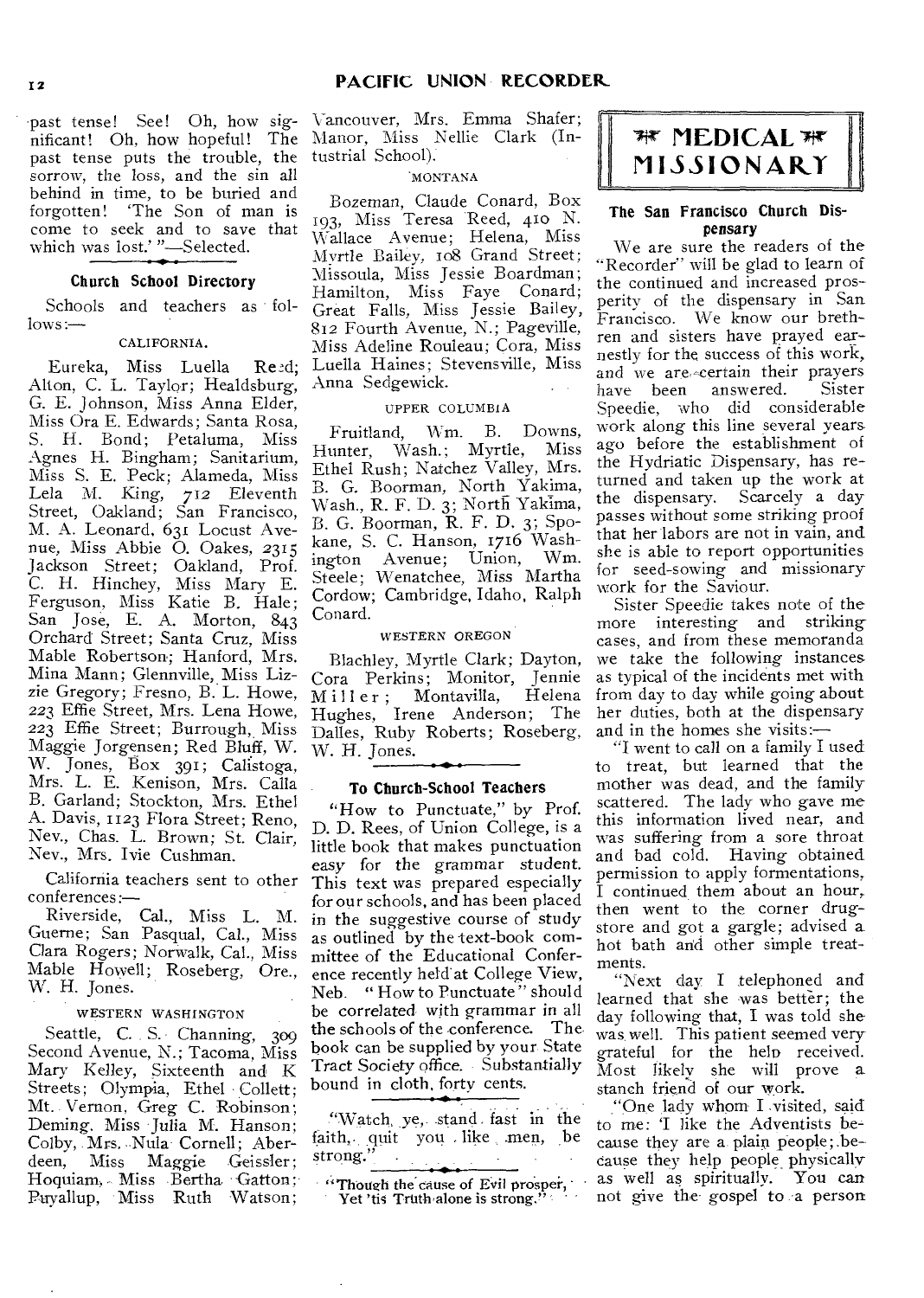past tense! See! Oh, how significant! Oh, how hopeful! The Manor, Miss Nellie Clark (Inpast tense puts the trouble, the tustrial School). sorrow, the loss, and the sin all behind in time, to be buried and forgotten! 'The Son of man is come to seek and to save that which was lost.' "-Selected.

#### Church School Directory

Schools and teachers as follows:—

#### CALIFORNIA.

Eureka, Miss Luella Reed; Alton, C. L. Taylor; Healdsburg, G. E. Johnson, Miss Anna Elder, Miss Ora E. Edwards; Santa Rosa, S. H. Bond; Petaluma, Miss Agnes H. Bingham; Sanitarium, Miss S. E. Peck; Alameda, Miss Lela M. King, 712 Eleventh Street, Oakland; San Francisco, M. A. Leonard, 631 Locust Avenue, Miss Abbie O. Oakes, 2315 Jackson Street; Oakland, Prof. C. H. Hinchey, Miss Mary E. Ferguson, Miss Katie B. Hale; San Jose, E. A. Morton, 843 Orchard Street; Santa Cruz, Miss Mable Robertson; Hanford, Mrs. Mina Mann; Glennville, Miss Lizzie Gregory; Fresno, B. L. Howe, 223 Effie Street, Mrs. Lena Howe, 223 Effie Street; Burrough, Miss Maggie Jorgensen; Red Bluff, W. W. Jones, Box 391; Calistoga, Mrs. L. E. Kenison, Mrs. Calla B. Garland; Stockton, Mrs. Ethel A. Davis, 1123 Flora Street; Reno, Nev., Chas. L. Brown; St. Clair, Nev., Mrs. Ivie Cushman.

California teachers sent to other conferences:—

Riverside, Cal., Miss L. M. Guerne; San Pasqual, Cal., Miss Clara Rogers; NorWalk, Cal., Miss Mable Howell; Roseberg, Ore., W. H. Jones.

#### WESTERN WASHINGTON

Seattle, C. S. Channing, 309 Second Avenue, N.; Tacoma, Miss Mary Kelley, Sixteenth and K Streets; Olympia, Ethel Collett; Mt. Vernon, Greg C. Robinson; Deming. Miss Julia M. Hanson; Colby, Mrs. Nula Cornell; Aber-<br>deen, Miss Maggie Geissler; deen, Miss Maggie Hoquiam, Miss Bertha Gatton; Puyallup, Miss Ruth Watson;

Vancouver, Mrs. Emma Shafer;

#### MONTANA

Bozeman, Claude Conard, Box 193, Miss Teresa Reed, 410 N. Wallace Avenue; Helena, Miss Myrtle Bailey, 108 Grand Street; Missoula, Miss Jessie Boardman; Hamilton, Miss Faye Conard; Great Falls, Miss Jessie Bailey, 812 Fourth Avenue, N.; Pageville, *Miss* Adeline Rouleau; Cora, Miss Luella Haines; Stevensville, Miss Anna Sedgewick.

#### UPPER COLUMBIA

Fruitland, Wm. B. Downs, Hunter, Wash.; Myrtle, Miss Ethel Rush; Natchez Valley, Mrs. B. G. Boorman, North Yakima, Wash., R. F. D. 3; North Yakima, B. G. Boorman, R. F. D. 3; Spokane, S. C. Hanson, 1716 Wash-<br>ington Ayenue: Union, Wm. ington Avenue; Union, Steele; Wenatchee, Miss Martha Cordow; Cambridge, Idaho, Ralph Conard.

#### WESTERN OREGON

Blachley, Myrtle Clark; Dayton, Cora Perkins; Monitor, Jennie Miller; Montavilla, Helena<br>Hughes, Irene Anderson; The Hughes, Irene Anderson; Dalles, Ruby Roberts; Roseberg, W. H. Jones.  $\overline{\phantom{0}}$ 

#### To Church-School Teachers

"How to Punctuate," by Prof. D. D. Rees, of Union College, is a little book that makes punctuation easy for the grammar student. This text was prepared especially for our schools, and has been placed in the suggestive course of study as outlined by the text-book committee of the Educational Conference recently held at College View, Neb. " How to Punctuate " should be correlated with grammar in all the schools of the conference. The book can be supplied by your State Tract Society office. Substantially bound in cloth, forty cents.

"Watch, ye, stand . fast in the faith,. quit you . like .men, be strong."

"Though the cause of Evil prosper, Yet 'tis Truth alone is strong."

## *MEDICAL*  $\mathbb{R}$ 1`1 **ISSIONARY**

#### The San Francisco Church Dispensary

We are sure the readers of the "Recorder" will be glad to learn of the continued and increased prosperity of the dispensary in San Francisco. We know our brethren and sisters have prayed earnestly for the success of this work, and we are certain their prayers<br>have been answered. Sister have been answered. Speedie, who did considerable work along this line several years ago before the establishment of the Hydriatic Dispensary, has returned and taken up the work at the dispensary. Scarcely a day *passes* without some striking proof that her labors are not in vain, and she is able to report opportunities for seed-sowing and missionary work for the Saviour.

Sister Speedie takes note of the more interesting and striking cases, and from these memoranda we take the following instances as typical of the incidents met with from day to day while going about her duties, both at the dispensary and in the homes she visits:—

"I went to call on a family I used to treat, but learned that the mother was dead, and the family scattered. The lady who gave me this information lived near, and was suffering from a sore throat and bad cold. Having obtained permission to apply formentations, I continued them about an hour, then went to the corner drugstore and got a gargle; advised a hot bath and other simple treatments.

"Next day I telephoned and learned that she was better; the day following that, I was told she was, well. This patient seemed very grateful for the help received. Most likely she will prove a stanch friend of our work.

"One lady whom I visited, said to me: 'I like the Adventists because they are a plain people; because they help people physically as well as spiritually. You can not give the gospel to a person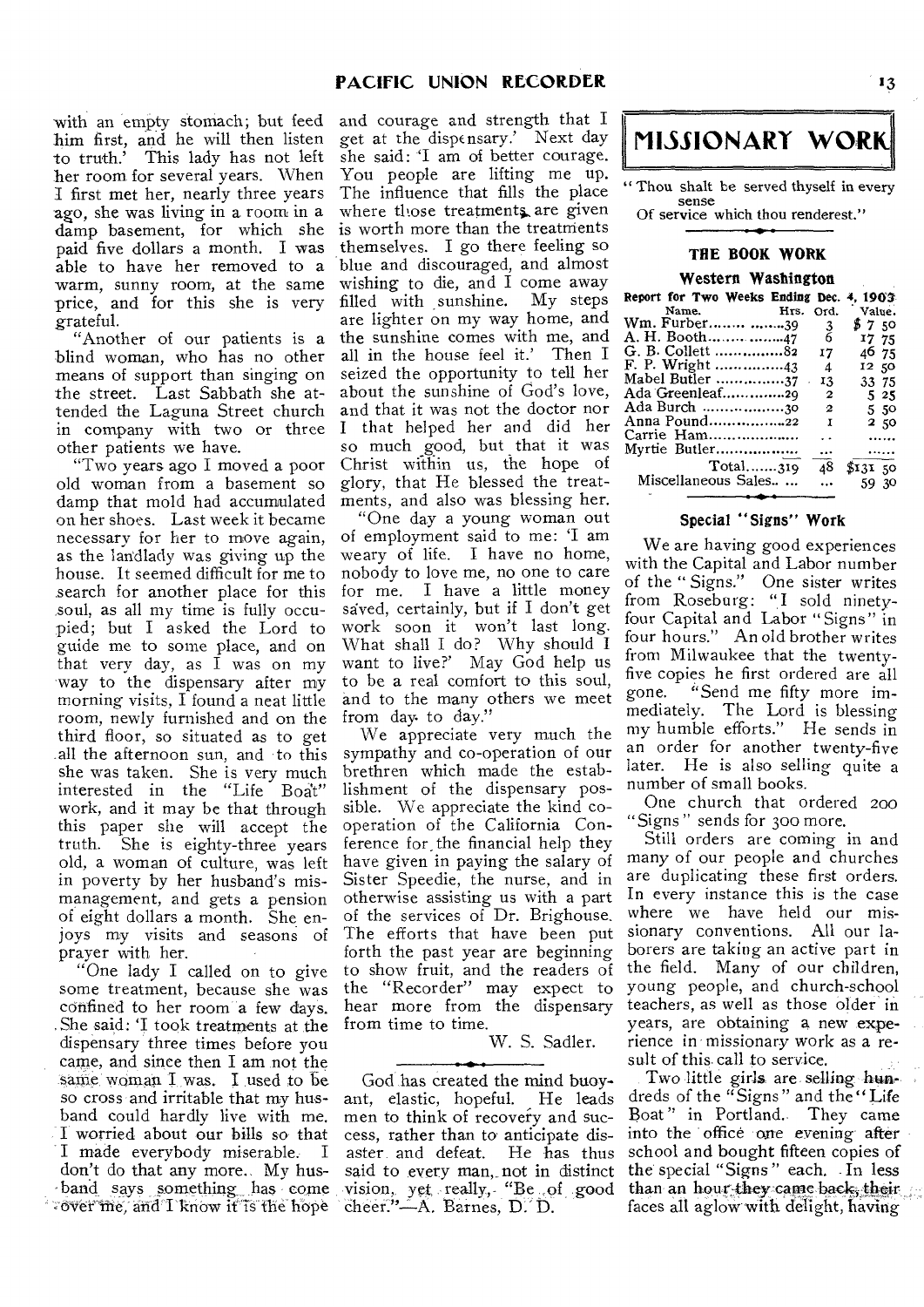with an empty stomach; but feed and courage and strength that I him first, and he will then listen to truth.' This lady has not left her room for several years. When I first met her, nearly three years ago, she was living in a room in a damp basement, for which she paid five dollars a month. I was able to have her removed to a warm, sunny room, at the same price, and for this she is very grateful.

"Another of our patients is a blind woman, who has no other means of support than singing on the street. Last Sabbath she attended the Laguna Street church in company with two or three I that helped her and did her other patients we have.

"Two years ago I moved a poor old woman from a basement so damp that mold had accumulated on her shoes. Last week it became necessary for her to move again, as the landlady was giving up the house. It seemed difficult for me to search for another place for this soul, as all my time is fully occupied; but I asked the Lord to guide me to some place, and on that very day, as I was on my way to the dispensary after my morning visits, I found a neat little room, newly furnished and on the third floor, so situated as to get .all the afternoon sun, and to this she was taken. She is very much interested in the "Life Boat" work, and it may be that through this paper she will accept the truth. She is eighty-three years old, a woman of culture, was left in poverty by her husband's mismanagement, and gets a pension of eight dollars a month. She enjoys my visits and seasons of prayer with her.

"One lady I called on to give some treatment, because she was confined to her room a few days. .She said: `I took treatments at the dispensary three times before you came, and since then I am not the same woman  $I$  was. I used to be so cross and irritable that my husband could hardly live with me. :I worried about our bills so that I made everybody miserable. don't do that any more. My hus-- band\_says something\_ has come Fover me, and I know it is the hope

get at the dispensary.' Next day she said: 'I am of better courage. You people are lifting me up. The influence that fills the place where those treatments are given is worth more than the treatments themselves. I go there feeling so blue and discouraged, and almost wishing to die, and I come away<br>filled with sunshine. My steps filled with sunshine. are lighter on my way home, and the sunshine comes with me, and all in the house feel it.' Then I seized the opportunity to tell her about the sunshine of God's love, and that it was not the doctor nor so much good, but that it was Christ within us, the hope of glory, that He blessed the treatments, and also was blessing her.

"One day a young woman out of employment said to me: 'I am weary of life. I have no home, nobody to love me, no one to care for me. I have a little money saved, certainly, but if I don't get work soon it won't last long. What shall I do? Why should I want to live?' May God help us to be a real comfort to this soul, and to the many others we meet from day to day.'

We appreciate very much the sympathy and co-operation of our brethren which made the establishment of the dispensary possible. We appreciate the kind cooperation of the California Conference for, the financial help they have given in paying the salary of Sister Speedie, the nurse, and in otherwise assisting us with a part of the services of Dr. Brighouse. The efforts that have been put forth the past year are beginning to show fruit, and the readers of the "Recorder" may expect to hear more from the dispensary from time to time.

W. S. Sadler.

God has created the mind buoy-<br>it, elastic, hopeful. He leads ant, elastic, hopeful. men to think of recovery and success, rather than to anticipate disaster and defeat. He has thus said to every man,. not in distinct vision, yet really, "Be ,of good cheer."-A. Barnes, D. D.



' Thou shalt be served thyself in every sense Of service which thou renderest."

#### **THE BOOK WORK**

#### **Western Washington**

| Report for Two Weeks Ending Dec. |    |                      | 4, 1903. |
|----------------------------------|----|----------------------|----------|
| Name. Hrs. Ord.                  |    |                      | Value.   |
| Wm. Furber 39                    |    | 3                    | \$750    |
| A. H. Booth47                    |    | 6                    | I7 75    |
| G. B. Collett 82                 |    | 17                   | 46 75    |
| F. P. Wright 43                  |    | 4                    | 12 50    |
| Mabel Butler 37                  | ä, | 13                   | 33 75    |
| Ada Greenleaf29                  |    | $\mathbf{2}$         | 525      |
| Ada Burch 30                     |    | $\mathbf{2}$         | 550      |
| Anna Pound22                     |    | I                    | 250      |
| Carrie Ham                       |    | $\ddot{\phantom{0}}$ |          |
| Myrtie Butler                    |    | $\cdots$             | .        |
| Total319                         |    | 48                   | \$13150  |
| Miscellaneous Sales              |    | $\dddotsc$           | 59 30    |

#### **Special "Signs" Work**

We are having good experiences with the Capital and Labor number of the " Signs." One sister writes from Roseburg: "I sold ninetyfour Capital and Labor "Signs" in four hours." An old brother writes from Milwaukee that the twentyfive copies he first ordered are all<br>gone. "Send me fifty more im-"Send me fifty more immediately. The Lord is blessing my humble efforts." He sends in an order for another twenty-five later. He is also selling quite a number of small books.

One church that ordered 200 "Signs " sends for 30o more.

Still orders are coming in and many of our people and churches are duplicating these first orders. In every instance this is the case where we have held our missionary conventions. All our laborers are taking an active part in the field. Many of our children, young people, and church-school teachers, as well as those older in years, are obtaining a new experience in missionary work as a result of this call to service.

Two little girls are selling hundreds of the "Signs" and the" Life Boat " in Portland.. They came into the office one evening after school and bought fifteen copies of the special "Signs" each. In less than an hour-they came back, their faces all aglow with delight, having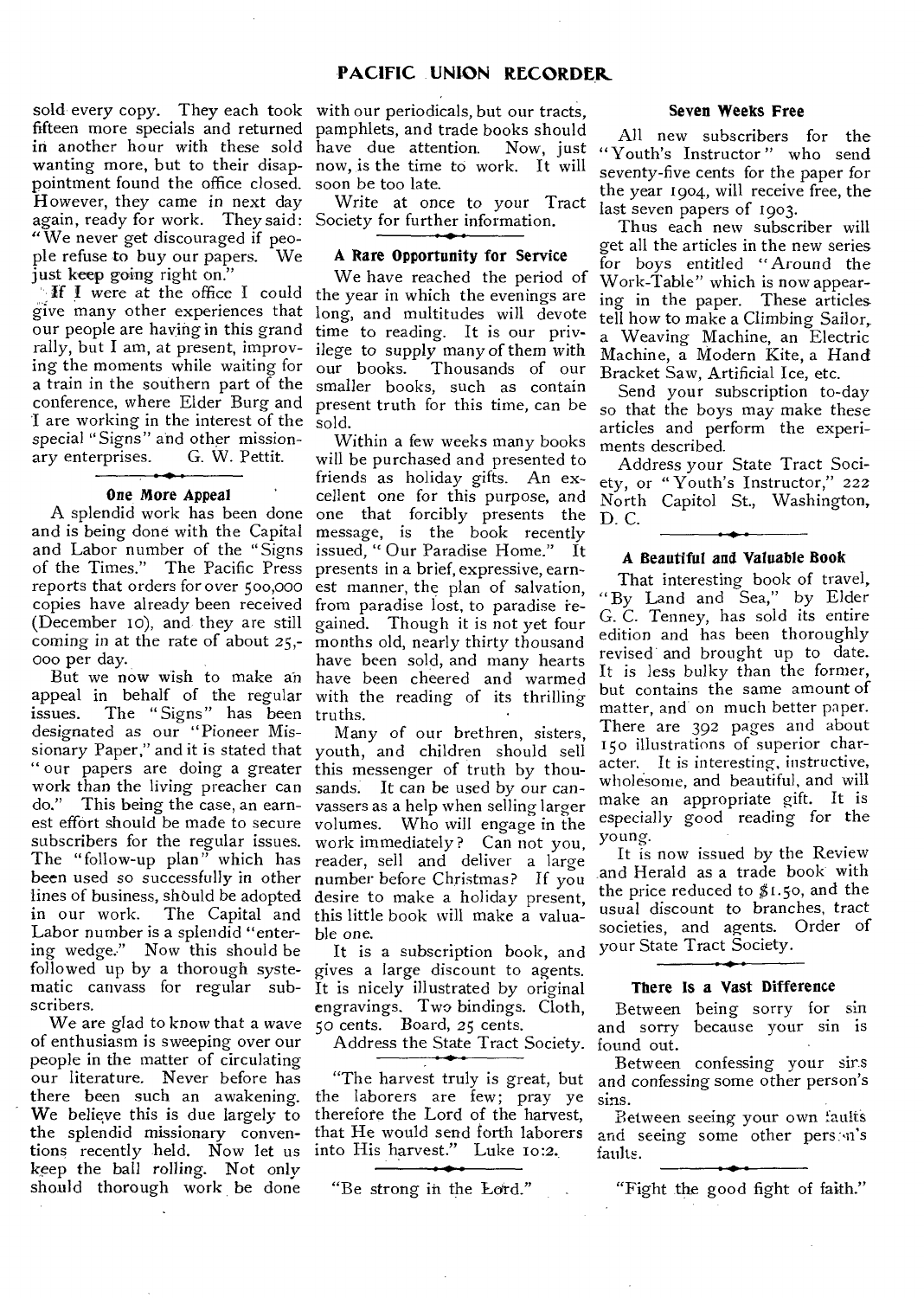sold every copy. They each took with our periodicals, but our tracts, fifteen more specials and returned pamphlets, and trade books should in another hour with these sold have due attention. Now, just wanting more, but to their disap-now, is the time to work. It will pointment found the office closed. soon be too late. However, they came in next day again, ready for work. They said: Society for further information. " We never get discouraged if people refuse to buy our papers. We just keep going right on."

give many other experiences that our people are having in this grand time to reading. It is our privrally, but I am, at present, improving the moments while waiting for our books. a train in the southern part of the smaller books, such as contain I are working in the interest of the sold. special "Signs" and other mission-<br>ary enterprises. G. W. Pettit. ary enterprises.

#### **One More Appeal**

and is being done with the Capital and Labor number of the "Signs issued, "Our Paradise Home." It of the Times." The Pacific Press presents in a brief, expressive, earnreports that orders for over 500,000 est manner, the plan of salvation, copies have already been received from paradise lost, to paradise re-(December io), and they are still gained. Though it is not yet four coming in at the rate of about 25,- months old, nearly thirty thousand 000 per day.

appeal in behalf of the regular with the reading of its thrilling issues. The "Signs" has been truths. designated as our "Pioneer Missionary Paper," and it is stated that youth, and children should sell " our papers are doing a greater this messenger of truth by thouwork than the living preacher can sands. It *can* be used by our cando." This being the case, an earnest effort should be made to secure volumes. Who will engage in the subscribers for the regular issues. work immediately? Can not you, The "follow-up plan" which has reader, sell and deliver a large been used so successfully in other number before Christmas? If you lines of business, should be adopted desire to make a holiday present, in our work. The Capital and this little book will make a valua-Labor number is a splendid "entering wedge." Now this should be followed up by a thorough systematic canvass for regular subscribers.

We are glad to know that a wave  $50$  cents. Board, 25 cents. of enthusiasm is sweeping over our people in the matter of circulating our literature. Never before has there been such an awakening. We believe this is due largely to the splendid missionary conventions recently held. Now let us keep the ball rolling. Not only should thorough work be done

Write at once to your Tract

#### **A Rare Opportunity for Service**

If I were at the office I could the year in which the evenings are conference, where Elder Burg and present truth for this time, can be We have reached the period of long, and multitudes will devote ilege to supply many of them with Thousands of our

A splendid work has been done one that forcibly presents the But we now wish to make an have been cheered and warmed Within a few weeks many books will be purchased and presented to friends as holiday gifts. An excellent one for this purpose, and message, is the book recently have been sold, and many hearts

> Many of our brethren, sisters, vassers as a help when selling larger ble one.

> It is a subscription book, and gives a large discount to agents. It is nicely illustrated by original engravings. Two bindings. Cloth,

Address the State Tract Society. found out.

the laborers are few; pray ye therefore the Lord of the harvest, that He would send forth laborers into His harvest." Luke 10:2.

#### **Seven Weeks Free**

All new subscribers for the Now, just "Youth's Instructor" who send seventy-five cents for the paper for the year 1904, will receive free, the last seven papers of 1903.

Thus each new subscriber will get all the articles in the new series for boys entitled "Around the Work-Table" which is now appearing in the paper. These articles tell how to make a Climbing Sailor,. a Weaving Machine, an Electric Machine, a Modern Kite, a Hand Bracket Saw, Artificial Ice, etc.

Send your subscription to-day so that the boys may make these articles and perform the experiments described.

Address your State Tract Society, or " Youth's Instructor," 222 North Capitol St., Washington, D. C.

#### **A Beautiful and Valuable Book**

That interesting book of travel, " By Land and Sea," by Elder G. C. Tenney, has sold its entire edition and has been thoroughly revised and brought up to date. It is *less* bulky than the former, but contains the same amount of matter, and on much better paper. There are 392 pages and about 150 illustrations of superior character, It is interesting, instructive, wholesome, and beautiful, and will make an appropriate gift. It is especially good reading for the young.

It is now issued by the Review and Herald as a trade book with the price reduced to  $$1.50$ , and the usual discount to branches, tract societies, and agents. Order of your State Tract Society.

#### **There Is a Vast Difference**

Between being sorry for sin and sorry because your sin is

"The harvest truly is great, but and *confessing* some other person's Between confessing your sirs sins.

> Between seeing your own faults and seeing some other pers. n's faults.

"Be strong in the Lord." "Fight the good fight of faith."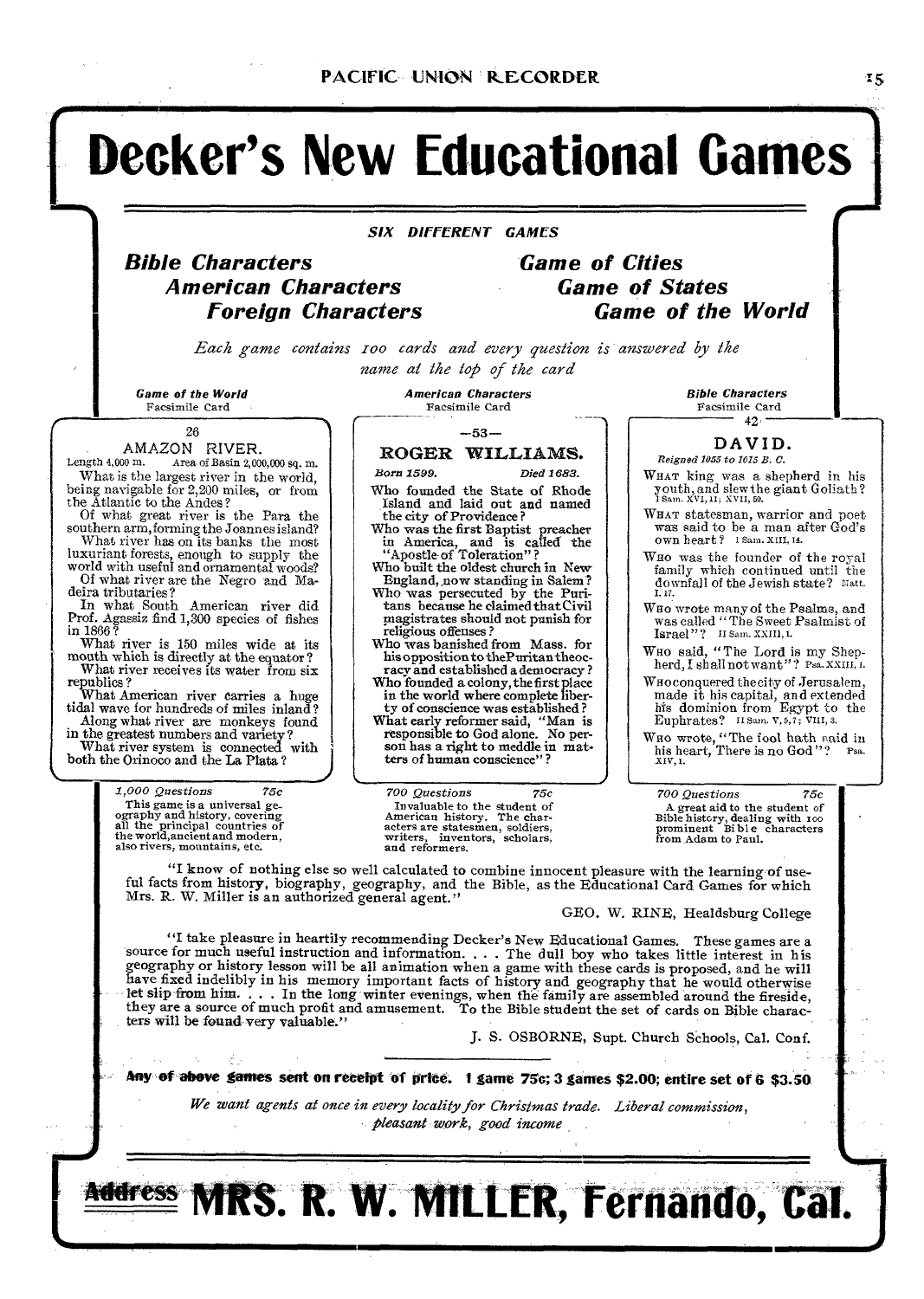## **Decker's New Educational Games**

#### *SIX DIFFERENT GAMES*

# **American Characters Game of States**

## **Bible Characters Game of Cities Foreign Characters Game of the World**

*Each game contains zoo cards and every question is answered by the name at the top of the card* 

26

### AMAZON RIVER.<br>Length 4.000 m. Area of Basin 2.00

Area of Basin  $2,000,000$  sq. m. What is the largest river in the world, being navigable for 2,200 miles, or from the Atlantic to the Andes?

Of what great river is the Para the southern arm,forming the Joannes island? What river has on its banks the most

luxuriant forests, enough to supply the world with useful and ornamental woods? Of what river are the Negro and Ma-

deira tributaries?

In what South American river did Prof. Agassiz find 1,300 species of fishes in 1866 ?

What river is 150 miles wide at its mouth which is directly at the equator? What river receives its water from six

republics ? What American river carries a huge tidal wave for hundreds of miles inland? Along what river are monkeys found

in the greatest numbers and variety ? What river system is connected with  $\big\}$  both the Orinoco and the La Plata?

> *1,000 Questions 75c*  This game is a universal ge-ography and history, covering all the principal countries of the world,ancient and modern, also rivers, mountains, etc.

Game of the World<br>
Facsimile Card<br>
Facsimile Card<br>
Facsimile Card Facsimile Card Facsimile Card

#### —53—

#### ROGER WILLIAMS.

Born 1599. Died 1683.

Who founded the State of Rhode Island and laid out and named the city of Providence ?

Who was the first Baptist preacher in America, and is called the "Apostle of Toleration" ?

Who built the oldest church in New England, now standing in Salem?

Who was persecuted by the Puritans because he claimed thatCivil !magistrates should not punish for religious offenses?

Who was banished from Mass. for his opposition to thePuritantheocracy and established a democracy ? Who founded a colony, the first place

in the world where complete liberty of conscience was established ? What early reformer said, "Man is responsible to God alone. No person has a right to meddle in matters of human conscience"

*700 Questions 75c 700 Questions 75c*  Invaluable to the student of A great aid to the student of American history, dealing with 100 and American history, dealing with 100 acters are statesmen, soldiers, prominent Bible characters For guarantee to the student of<br>American history. The char-<br>acters are statesmen, soldiers,<br>writers, inventors, scholars, and reformers.

Bible Characters Facsimile Card  $42<sup>1</sup>$ 

#### DAVID.

*Reigned 1055 to 1015 B. C.* 

- WHAT king was a shepherd in his youth, and slew the giant Goliath? Sam. XVI, 11; XVII, 50.
- WHAT statesman, warrior and poet was said to be a man after God's own heart? I Sam. XIII, 14.
- Wno was the founder of the royal family which continued until the downfall of the Jewish state? Matt.<br>I, 17.

WHO wrote many of the Psalms, and was called "The Sweet Psalmist of Israel"? If Sam. XXIII, 1.

Who said, "The Lord is my Shep-<br>herd, I shall not want"? Psa. XXIII, 1.

WHO conquered the city of Jerusalem, made it his capital, and extended his dominion from Egypt to the Euphrates? II Sam. V, 5,7 ; viii, 3.

Who wrote, "The fool hath said in<br>his heart, There is no God"?  $_{\text{Psa}}$ <br> $_{\text{XIV},1}$ .

"I know of nothing else so well calculated to combine innocent pleasure with the learning of useful facts from history, biography, geography, and the Bible, as the Educational Card Games for which Mrs. R. W. Miller is an authorized general agent."

GEO. W. RINE, Healdsburg College

"I take pleasure in heartily recommending Decker's New Educational Games. These games are a<br>source for much useful instruction and information. . . . The dull boy who takes little interest in his<br>geography or history lesso let slip from him. . . . In the long winter evenings, when the family are assembled around the fireside, they are a source of much profit and amusement. To the Bible student the set of cards on Bible characters will be found very valuable."

J. S. OSBORNE, Supt. Church Schools, Cal. Conf.

Any of above games sent on receipt of price. 1 game 75c; 3 games \$2.00; entire set of 6 \$3.50

*We want agents at once in every locality for Christmas trade. Liberal commission, pleasant work, good income*